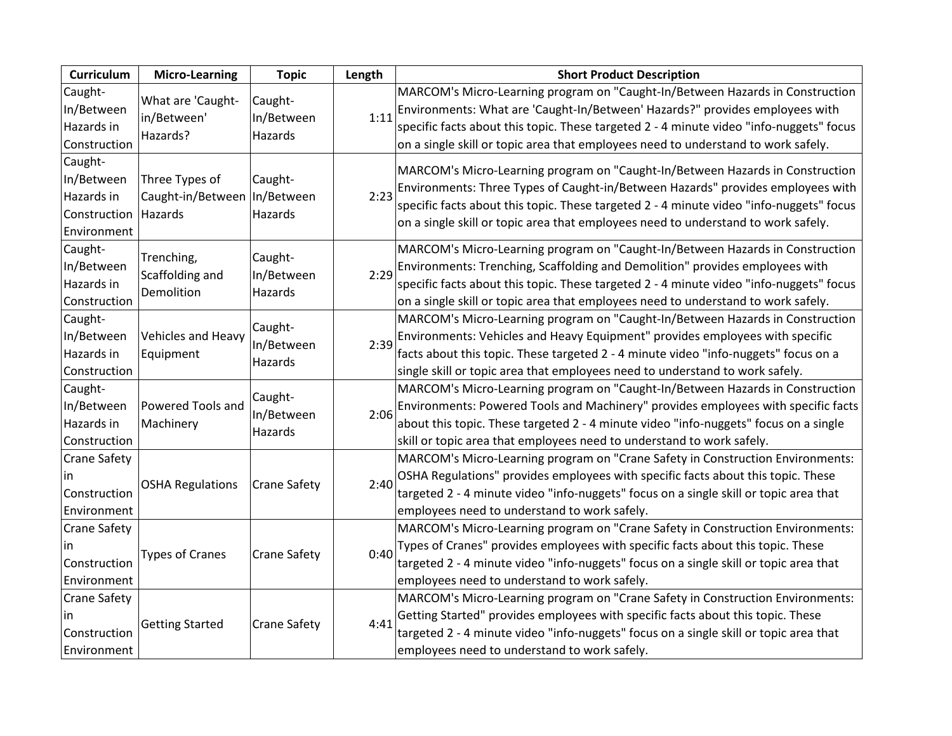| Curriculum                                                         | <b>Micro-Learning</b>                                       | <b>Topic</b>                     | Length | <b>Short Product Description</b>                                                                                                                                                                                                                                                                                                                 |
|--------------------------------------------------------------------|-------------------------------------------------------------|----------------------------------|--------|--------------------------------------------------------------------------------------------------------------------------------------------------------------------------------------------------------------------------------------------------------------------------------------------------------------------------------------------------|
| Caught-<br>In/Between<br>Hazards in<br>Construction                | What are 'Caught-<br>in/Between'<br>Hazards?                | Caught-<br>In/Between<br>Hazards | 1:11   | MARCOM's Micro-Learning program on "Caught-In/Between Hazards in Construction<br>Environments: What are 'Caught-In/Between' Hazards?" provides employees with<br>specific facts about this topic. These targeted 2 - 4 minute video "info-nuggets" focus<br>on a single skill or topic area that employees need to understand to work safely.    |
| Caught-<br>In/Between<br>Hazards in<br>Construction<br>Environment | Three Types of<br>Caught-in/Between   In/Between<br>Hazards | Caught-<br>Hazards               | 2:23   | MARCOM's Micro-Learning program on "Caught-In/Between Hazards in Construction<br>Environments: Three Types of Caught-in/Between Hazards" provides employees with<br>specific facts about this topic. These targeted 2 - 4 minute video "info-nuggets" focus<br>on a single skill or topic area that employees need to understand to work safely. |
| Caught-<br>In/Between<br>Hazards in<br>Construction                | Trenching,<br>Scaffolding and<br>Demolition                 | Caught-<br>In/Between<br>Hazards | 2:29   | MARCOM's Micro-Learning program on "Caught-In/Between Hazards in Construction<br>Environments: Trenching, Scaffolding and Demolition" provides employees with<br>specific facts about this topic. These targeted 2 - 4 minute video "info-nuggets" focus<br>on a single skill or topic area that employees need to understand to work safely.    |
| Caught-<br>In/Between<br>Hazards in<br>Construction                | Vehicles and Heavy<br>Equipment                             | Caught-<br>In/Between<br>Hazards | 2:39   | MARCOM's Micro-Learning program on "Caught-In/Between Hazards in Construction<br>Environments: Vehicles and Heavy Equipment" provides employees with specific<br>facts about this topic. These targeted 2 - 4 minute video "info-nuggets" focus on a<br>single skill or topic area that employees need to understand to work safely.             |
| Caught-<br>In/Between<br>Hazards in<br>Construction                | Powered Tools and<br>Machinery                              | Caught-<br>In/Between<br>Hazards | 2:06   | MARCOM's Micro-Learning program on "Caught-In/Between Hazards in Construction<br>Environments: Powered Tools and Machinery" provides employees with specific facts<br>about this topic. These targeted 2 - 4 minute video "info-nuggets" focus on a single<br>skill or topic area that employees need to understand to work safely.              |
| <b>Crane Safety</b><br>in.<br>Construction<br>Environment          | <b>OSHA Regulations</b>                                     | Crane Safety                     | 2:40   | MARCOM's Micro-Learning program on "Crane Safety in Construction Environments:<br>OSHA Regulations" provides employees with specific facts about this topic. These<br>targeted 2 - 4 minute video "info-nuggets" focus on a single skill or topic area that<br>employees need to understand to work safely.                                      |
| <b>Crane Safety</b><br>in<br>Construction<br>Environment           | <b>Types of Cranes</b>                                      | Crane Safety                     | 0:40   | MARCOM's Micro-Learning program on "Crane Safety in Construction Environments:<br>Types of Cranes" provides employees with specific facts about this topic. These<br>targeted 2 - 4 minute video "info-nuggets" focus on a single skill or topic area that<br>employees need to understand to work safely.                                       |
| Crane Safety<br>in.<br>Construction<br>Environment                 | <b>Getting Started</b>                                      | Crane Safety                     | 4:41   | MARCOM's Micro-Learning program on "Crane Safety in Construction Environments:<br>Getting Started" provides employees with specific facts about this topic. These<br>targeted 2 - 4 minute video "info-nuggets" focus on a single skill or topic area that<br>employees need to understand to work safely.                                       |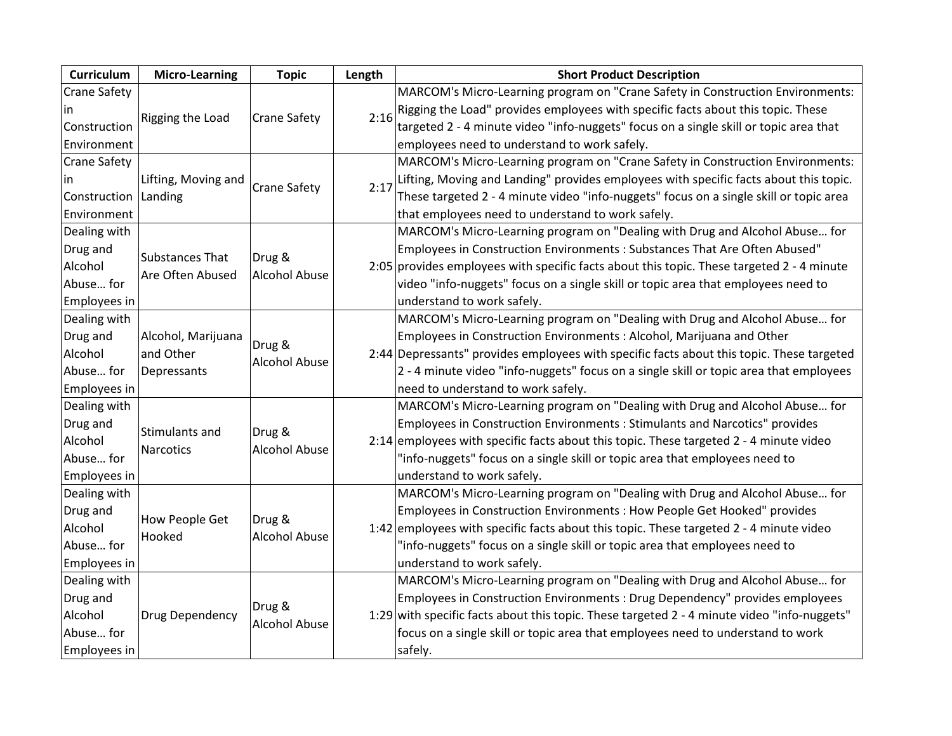| Curriculum          | <b>Micro-Learning</b>  | <b>Topic</b>                   | Length | <b>Short Product Description</b>                                                            |
|---------------------|------------------------|--------------------------------|--------|---------------------------------------------------------------------------------------------|
| <b>Crane Safety</b> |                        |                                |        | MARCOM's Micro-Learning program on "Crane Safety in Construction Environments:              |
|                     | Rigging the Load       | Crane Safety                   | 2:16   | Rigging the Load" provides employees with specific facts about this topic. These            |
| Construction        |                        |                                |        | targeted 2 - 4 minute video "info-nuggets" focus on a single skill or topic area that       |
| Environment         |                        |                                |        | employees need to understand to work safely.                                                |
| <b>Crane Safety</b> |                        |                                |        | MARCOM's Micro-Learning program on "Crane Safety in Construction Environments:              |
| ın                  | Lifting, Moving and    | <b>Crane Safety</b>            | 2:17   | Lifting, Moving and Landing" provides employees with specific facts about this topic.       |
| Construction        | Landing                |                                |        | These targeted 2 - 4 minute video "info-nuggets" focus on a single skill or topic area      |
| Environment         |                        |                                |        | that employees need to understand to work safely.                                           |
| Dealing with        |                        |                                |        | MARCOM's Micro-Learning program on "Dealing with Drug and Alcohol Abuse for                 |
| Drug and            | <b>Substances That</b> | Drug &                         |        | Employees in Construction Environments : Substances That Are Often Abused"                  |
| Alcohol             | Are Often Abused       | <b>Alcohol Abuse</b>           |        | 2:05 provides employees with specific facts about this topic. These targeted 2 - 4 minute   |
| Abuse for           |                        |                                |        | video "info-nuggets" focus on a single skill or topic area that employees need to           |
| Employees in        |                        |                                |        | understand to work safely.                                                                  |
| Dealing with        |                        |                                |        | MARCOM's Micro-Learning program on "Dealing with Drug and Alcohol Abuse for                 |
| Drug and            | Alcohol, Marijuana     |                                |        | Employees in Construction Environments: Alcohol, Marijuana and Other                        |
| Alcohol             | and Other              | Drug &<br><b>Alcohol Abuse</b> |        | 2:44 Depressants" provides employees with specific facts about this topic. These targeted   |
| Abuse for           | Depressants            |                                |        | 2 - 4 minute video "info-nuggets" focus on a single skill or topic area that employees      |
| Employees in        |                        |                                |        | need to understand to work safely.                                                          |
| Dealing with        |                        |                                |        | MARCOM's Micro-Learning program on "Dealing with Drug and Alcohol Abuse for                 |
| Drug and            | Stimulants and         | Drug &                         |        | Employees in Construction Environments : Stimulants and Narcotics" provides                 |
| Alcohol             | Narcotics              | <b>Alcohol Abuse</b>           |        | 2:14 employees with specific facts about this topic. These targeted $2 - 4$ minute video    |
| Abuse for           |                        |                                |        | "info-nuggets" focus on a single skill or topic area that employees need to                 |
| Employees in        |                        |                                |        | understand to work safely.                                                                  |
| Dealing with        |                        |                                |        | MARCOM's Micro-Learning program on "Dealing with Drug and Alcohol Abuse for                 |
| Drug and            | How People Get         | Drug &                         |        | Employees in Construction Environments : How People Get Hooked" provides                    |
| Alcohol             | Hooked                 | <b>Alcohol Abuse</b>           |        | 1:42 employees with specific facts about this topic. These targeted 2 - 4 minute video      |
| Abuse for           |                        |                                |        | "info-nuggets" focus on a single skill or topic area that employees need to                 |
| Employees in        |                        |                                |        | understand to work safely.                                                                  |
| Dealing with        |                        |                                |        | MARCOM's Micro-Learning program on "Dealing with Drug and Alcohol Abuse for                 |
| Drug and            |                        | Drug &                         |        | Employees in Construction Environments : Drug Dependency" provides employees                |
| Alcohol             | <b>Drug Dependency</b> | <b>Alcohol Abuse</b>           |        | 1:29 with specific facts about this topic. These targeted 2 - 4 minute video "info-nuggets" |
| Abuse for           |                        |                                |        | focus on a single skill or topic area that employees need to understand to work             |
| Employees in        |                        |                                |        | safely.                                                                                     |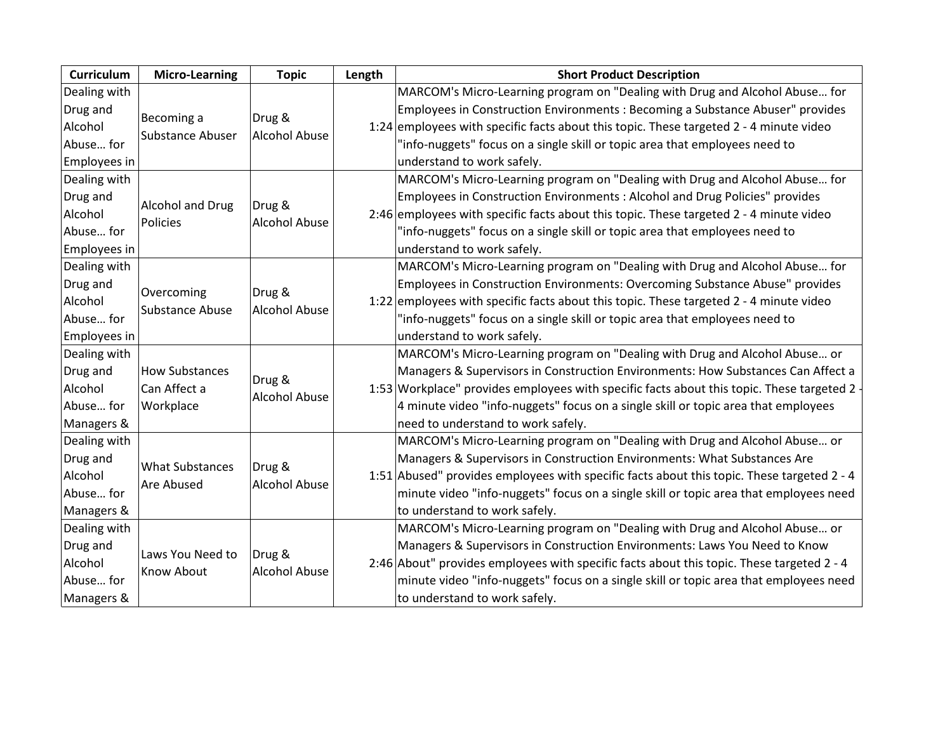| Curriculum   | <b>Micro-Learning</b>                 | <b>Topic</b>                   | Length | <b>Short Product Description</b>                                                            |
|--------------|---------------------------------------|--------------------------------|--------|---------------------------------------------------------------------------------------------|
| Dealing with |                                       |                                |        | MARCOM's Micro-Learning program on "Dealing with Drug and Alcohol Abuse for                 |
| Drug and     |                                       |                                |        | Employees in Construction Environments : Becoming a Substance Abuser" provides              |
| Alcohol      | Becoming a<br><b>Substance Abuser</b> | Drug &<br><b>Alcohol Abuse</b> |        | 1:24 employees with specific facts about this topic. These targeted 2 - 4 minute video      |
| Abuse for    |                                       |                                |        | "info-nuggets" focus on a single skill or topic area that employees need to                 |
| Employees in |                                       |                                |        | understand to work safely.                                                                  |
| Dealing with |                                       |                                |        | MARCOM's Micro-Learning program on "Dealing with Drug and Alcohol Abuse for                 |
| Drug and     |                                       |                                |        | Employees in Construction Environments : Alcohol and Drug Policies" provides                |
| Alcohol      | Alcohol and Drug<br>Policies          | Drug &<br><b>Alcohol Abuse</b> |        | 2:46 employees with specific facts about this topic. These targeted 2 - 4 minute video      |
| Abuse for    |                                       |                                |        | "info-nuggets" focus on a single skill or topic area that employees need to                 |
| Employees in |                                       |                                |        | understand to work safely.                                                                  |
| Dealing with |                                       |                                |        | MARCOM's Micro-Learning program on "Dealing with Drug and Alcohol Abuse for                 |
| Drug and     |                                       |                                |        | Employees in Construction Environments: Overcoming Substance Abuse" provides                |
| Alcohol      | Overcoming<br><b>Substance Abuse</b>  | Drug &<br><b>Alcohol Abuse</b> |        | 1:22 employees with specific facts about this topic. These targeted $2 - 4$ minute video    |
| Abuse for    |                                       |                                |        | "info-nuggets" focus on a single skill or topic area that employees need to                 |
| Employees in |                                       |                                |        | understand to work safely.                                                                  |
| Dealing with |                                       |                                |        | MARCOM's Micro-Learning program on "Dealing with Drug and Alcohol Abuse or                  |
| Drug and     | <b>How Substances</b>                 | Drug &                         |        | Managers & Supervisors in Construction Environments: How Substances Can Affect a            |
| Alcohol      | Can Affect a                          | <b>Alcohol Abuse</b>           |        | 1:53 Workplace" provides employees with specific facts about this topic. These targeted 2 - |
| Abuse for    | Workplace                             |                                |        | 4 minute video "info-nuggets" focus on a single skill or topic area that employees          |
| Managers &   |                                       |                                |        | need to understand to work safely.                                                          |
| Dealing with |                                       |                                |        | MARCOM's Micro-Learning program on "Dealing with Drug and Alcohol Abuse or                  |
| Drug and     | <b>What Substances</b>                | Drug &                         |        | Managers & Supervisors in Construction Environments: What Substances Are                    |
| Alcohol      |                                       | <b>Alcohol Abuse</b>           |        | 1:51 Abused" provides employees with specific facts about this topic. These targeted 2 - 4  |
| Abuse for    | Are Abused                            |                                |        | minute video "info-nuggets" focus on a single skill or topic area that employees need       |
| Managers &   |                                       |                                |        | to understand to work safely.                                                               |
| Dealing with |                                       |                                |        | MARCOM's Micro-Learning program on "Dealing with Drug and Alcohol Abuse or                  |
| Drug and     |                                       |                                |        | Managers & Supervisors in Construction Environments: Laws You Need to Know                  |
| Alcohol      | Laws You Need to<br><b>Know About</b> | Drug &<br><b>Alcohol Abuse</b> |        | 2:46 About" provides employees with specific facts about this topic. These targeted 2 - 4   |
| Abuse for    |                                       |                                |        | minute video "info-nuggets" focus on a single skill or topic area that employees need       |
| Managers &   |                                       |                                |        | to understand to work safely.                                                               |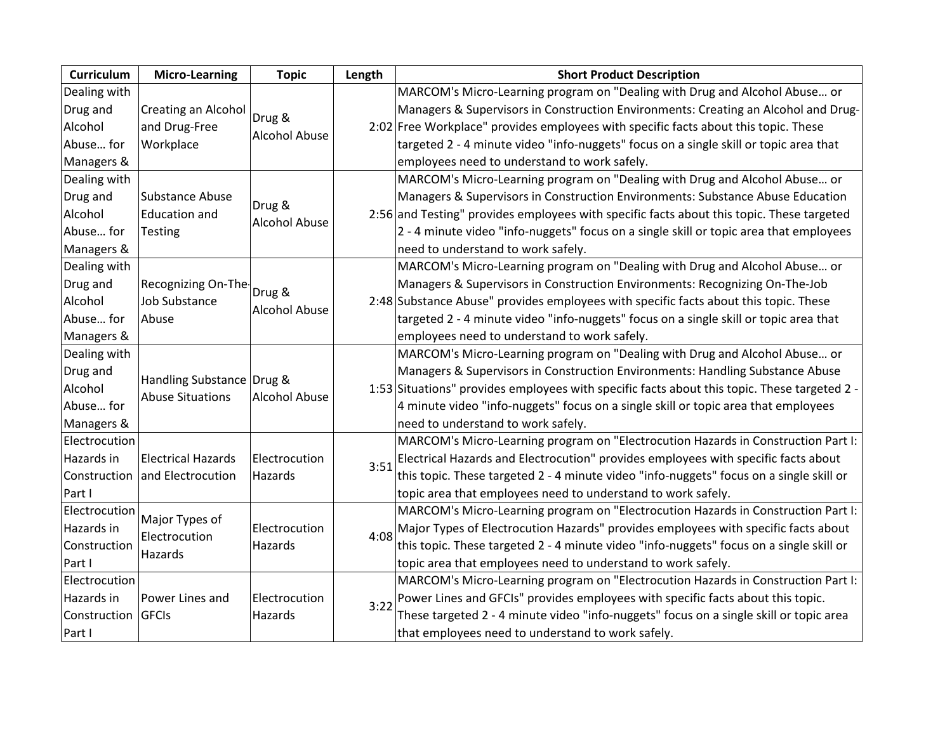| <b>Curriculum</b>  | <b>Micro-Learning</b>     | <b>Topic</b>         | Length | <b>Short Product Description</b>                                                             |
|--------------------|---------------------------|----------------------|--------|----------------------------------------------------------------------------------------------|
| Dealing with       |                           |                      |        | MARCOM's Micro-Learning program on "Dealing with Drug and Alcohol Abuse or                   |
| Drug and           | Creating an Alcohol       | Drug &               |        | Managers & Supervisors in Construction Environments: Creating an Alcohol and Drug-           |
| Alcohol            | and Drug-Free             |                      |        | 2:02 Free Workplace" provides employees with specific facts about this topic. These          |
| Abuse for          | Workplace                 | <b>Alcohol Abuse</b> |        | targeted 2 - 4 minute video "info-nuggets" focus on a single skill or topic area that        |
| Managers &         |                           |                      |        | employees need to understand to work safely.                                                 |
| Dealing with       |                           |                      |        | MARCOM's Micro-Learning program on "Dealing with Drug and Alcohol Abuse or                   |
| Drug and           | <b>Substance Abuse</b>    | Drug &               |        | Managers & Supervisors in Construction Environments: Substance Abuse Education               |
| Alcohol            | <b>Education and</b>      | <b>Alcohol Abuse</b> |        | 2:56 and Testing" provides employees with specific facts about this topic. These targeted    |
| Abuse for          | <b>Testing</b>            |                      |        | 2 - 4 minute video "info-nuggets" focus on a single skill or topic area that employees       |
| Managers &         |                           |                      |        | need to understand to work safely.                                                           |
| Dealing with       |                           |                      |        | MARCOM's Micro-Learning program on "Dealing with Drug and Alcohol Abuse or                   |
| Drug and           | Recognizing On-The-       | Drug &               |        | Managers & Supervisors in Construction Environments: Recognizing On-The-Job                  |
| Alcohol            | <b>Job Substance</b>      | <b>Alcohol Abuse</b> |        | 2:48 Substance Abuse" provides employees with specific facts about this topic. These         |
| Abuse for          | Abuse                     |                      |        | targeted 2 - 4 minute video "info-nuggets" focus on a single skill or topic area that        |
| Managers &         |                           |                      |        | employees need to understand to work safely.                                                 |
| Dealing with       |                           |                      |        | MARCOM's Micro-Learning program on "Dealing with Drug and Alcohol Abuse or                   |
| Drug and           | Handling Substance Drug & |                      |        | Managers & Supervisors in Construction Environments: Handling Substance Abuse                |
| Alcohol            | <b>Abuse Situations</b>   | <b>Alcohol Abuse</b> |        | 1:53 Situations" provides employees with specific facts about this topic. These targeted 2 - |
| Abuse for          |                           |                      |        | 4 minute video "info-nuggets" focus on a single skill or topic area that employees           |
| Managers &         |                           |                      |        | need to understand to work safely.                                                           |
| Electrocution      |                           |                      |        | MARCOM's Micro-Learning program on "Electrocution Hazards in Construction Part I:            |
| Hazards in         | <b>Electrical Hazards</b> | Electrocution        | 3:51   | Electrical Hazards and Electrocution" provides employees with specific facts about           |
| Construction       | and Electrocution         | Hazards              |        | this topic. These targeted 2 - 4 minute video "info-nuggets" focus on a single skill or      |
| Part I             |                           |                      |        | topic area that employees need to understand to work safely.                                 |
| Electrocution      | Major Types of            |                      |        | MARCOM's Micro-Learning program on "Electrocution Hazards in Construction Part I:            |
| Hazards in         | Electrocution             | Electrocution        | 4:08   | Major Types of Electrocution Hazards" provides employees with specific facts about           |
| Construction       | Hazards                   | Hazards              |        | this topic. These targeted 2 - 4 minute video "info-nuggets" focus on a single skill or      |
| Part I             |                           |                      |        | topic area that employees need to understand to work safely.                                 |
| Electrocution      |                           |                      |        | MARCOM's Micro-Learning program on "Electrocution Hazards in Construction Part I:            |
| Hazards in         | Power Lines and           | Electrocution        | 3:22   | Power Lines and GFCIs" provides employees with specific facts about this topic.              |
| Construction GFCIs |                           | Hazards              |        | These targeted 2 - 4 minute video "info-nuggets" focus on a single skill or topic area       |
| Part I             |                           |                      |        | that employees need to understand to work safely.                                            |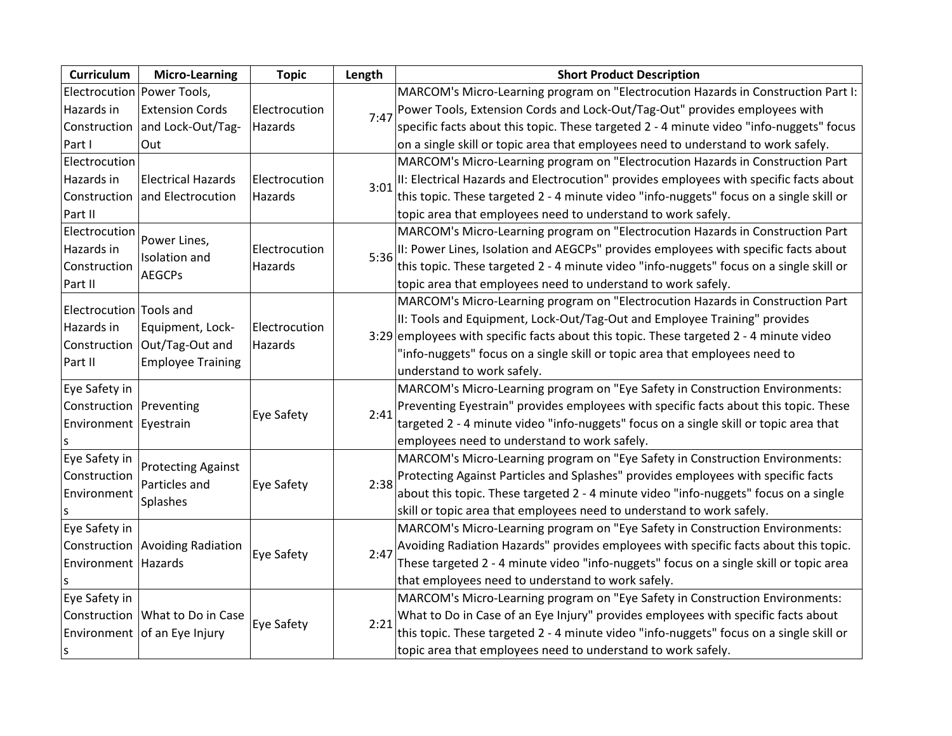| Curriculum                 | <b>Micro-Learning</b>           | <b>Topic</b>             | Length | <b>Short Product Description</b>                                                        |
|----------------------------|---------------------------------|--------------------------|--------|-----------------------------------------------------------------------------------------|
| Electrocution Power Tools, |                                 |                          |        | MARCOM's Micro-Learning program on "Electrocution Hazards in Construction Part I:       |
| Hazards in                 | <b>Extension Cords</b>          | Electrocution            | 7:47   | Power Tools, Extension Cords and Lock-Out/Tag-Out" provides employees with              |
|                            | Construction and Lock-Out/Tag-  | Hazards                  |        | specific facts about this topic. These targeted 2 - 4 minute video "info-nuggets" focus |
| Part I                     | Out                             |                          |        | on a single skill or topic area that employees need to understand to work safely.       |
| Electrocution              |                                 |                          |        | MARCOM's Micro-Learning program on "Electrocution Hazards in Construction Part          |
| Hazards in                 | <b>Electrical Hazards</b>       | Electrocution            | 3:01   | II: Electrical Hazards and Electrocution" provides employees with specific facts about  |
|                            | Construction and Electrocution  | Hazards                  |        | this topic. These targeted 2 - 4 minute video "info-nuggets" focus on a single skill or |
| Part II                    |                                 |                          |        | topic area that employees need to understand to work safely.                            |
| Electrocution              | Power Lines,                    |                          |        | MARCOM's Micro-Learning program on "Electrocution Hazards in Construction Part          |
| Hazards in                 | Isolation and                   | Electrocution            | 5:36   | II: Power Lines, Isolation and AEGCPs" provides employees with specific facts about     |
| Construction               | <b>AEGCPs</b>                   | Hazards                  |        | this topic. These targeted 2 - 4 minute video "info-nuggets" focus on a single skill or |
| Part II                    |                                 |                          |        | topic area that employees need to understand to work safely.                            |
|                            |                                 |                          |        | MARCOM's Micro-Learning program on "Electrocution Hazards in Construction Part          |
| Electrocution Tools and    |                                 |                          |        | II: Tools and Equipment, Lock-Out/Tag-Out and Employee Training" provides               |
| Hazards in                 | Equipment, Lock-                | Electrocution<br>Hazards |        | 3:29 employees with specific facts about this topic. These targeted 2 - 4 minute video  |
| Construction               | Out/Tag-Out and                 |                          |        | "info-nuggets" focus on a single skill or topic area that employees need to             |
| Part II                    | <b>Employee Training</b>        |                          |        | understand to work safely.                                                              |
| Eye Safety in              |                                 |                          |        | MARCOM's Micro-Learning program on "Eye Safety in Construction Environments:            |
| Construction   Preventing  |                                 |                          | 2:41   | Preventing Eyestrain" provides employees with specific facts about this topic. These    |
| Environment Eyestrain      |                                 | <b>Eye Safety</b>        |        | targeted 2 - 4 minute video "info-nuggets" focus on a single skill or topic area that   |
|                            |                                 |                          |        | employees need to understand to work safely.                                            |
| Eye Safety in              |                                 |                          |        | MARCOM's Micro-Learning program on "Eye Safety in Construction Environments:            |
| Construction               | <b>Protecting Against</b>       |                          | 2:38   | Protecting Against Particles and Splashes" provides employees with specific facts       |
| Environment                | Particles and                   | <b>Eye Safety</b>        |        | about this topic. These targeted 2 - 4 minute video "info-nuggets" focus on a single    |
|                            | <b>Splashes</b>                 |                          |        | skill or topic area that employees need to understand to work safely.                   |
| Eye Safety in              |                                 |                          |        | MARCOM's Micro-Learning program on "Eye Safety in Construction Environments:            |
|                            | Construction Avoiding Radiation |                          | 2:47   | Avoiding Radiation Hazards" provides employees with specific facts about this topic.    |
| Environment Hazards        |                                 | Eye Safety               |        | These targeted 2 - 4 minute video "info-nuggets" focus on a single skill or topic area  |
|                            |                                 |                          |        | that employees need to understand to work safely.                                       |
| Eye Safety in              |                                 |                          |        | MARCOM's Micro-Learning program on "Eye Safety in Construction Environments:            |
|                            | Construction What to Do in Case |                          |        | What to Do in Case of an Eye Injury" provides employees with specific facts about       |
|                            | Environment of an Eye Injury    | Eye Safety               | 2:21   | this topic. These targeted 2 - 4 minute video "info-nuggets" focus on a single skill or |
| s                          |                                 |                          |        | topic area that employees need to understand to work safely.                            |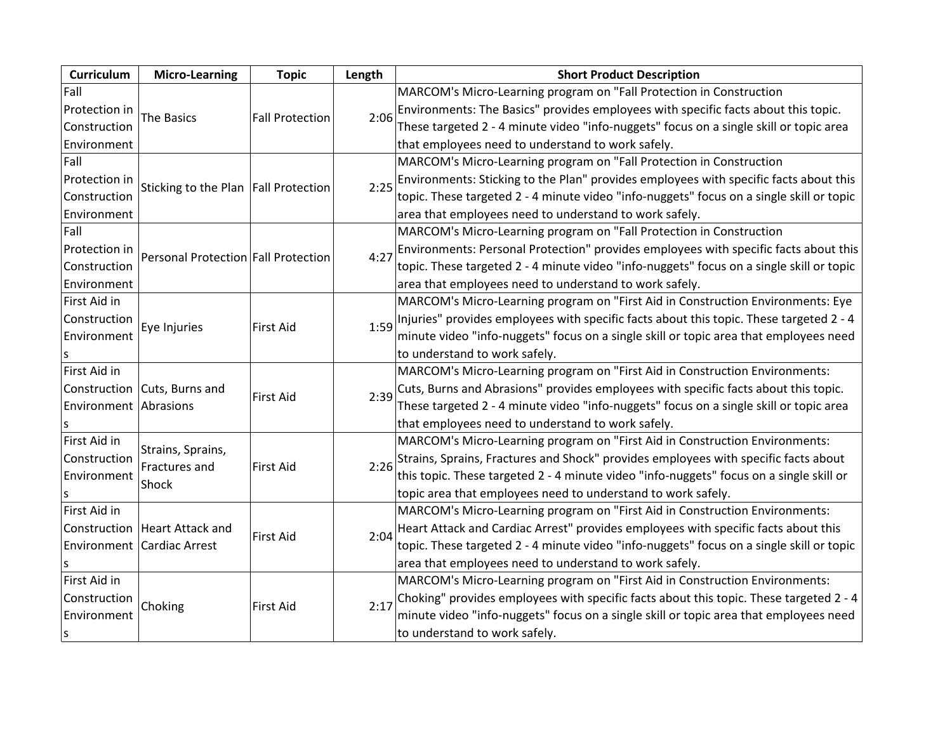| Curriculum            | <b>Micro-Learning</b>               | <b>Topic</b>                         | Length | <b>Short Product Description</b>                                                         |
|-----------------------|-------------------------------------|--------------------------------------|--------|------------------------------------------------------------------------------------------|
| Fall                  |                                     |                                      |        | MARCOM's Micro-Learning program on "Fall Protection in Construction                      |
| Protection in         | The Basics                          | <b>Fall Protection</b>               | 2:06   | Environments: The Basics" provides employees with specific facts about this topic.       |
| Construction          |                                     |                                      |        | These targeted 2 - 4 minute video "info-nuggets" focus on a single skill or topic area   |
| Environment           |                                     |                                      |        | that employees need to understand to work safely.                                        |
| Fall                  |                                     |                                      |        | MARCOM's Micro-Learning program on "Fall Protection in Construction                      |
| Protection in         |                                     |                                      | 2:25   | Environments: Sticking to the Plan" provides employees with specific facts about this    |
| Construction          |                                     | Sticking to the Plan Fall Protection |        | topic. These targeted 2 - 4 minute video "info-nuggets" focus on a single skill or topic |
| Environment           |                                     |                                      |        | area that employees need to understand to work safely.                                   |
| Fall                  |                                     |                                      |        | MARCOM's Micro-Learning program on "Fall Protection in Construction                      |
| Protection in         | Personal Protection Fall Protection |                                      | 4:27   | Environments: Personal Protection" provides employees with specific facts about this     |
| Construction          |                                     |                                      |        | topic. These targeted 2 - 4 minute video "info-nuggets" focus on a single skill or topic |
| Environment           |                                     |                                      |        | area that employees need to understand to work safely.                                   |
| First Aid in          |                                     |                                      |        | MARCOM's Micro-Learning program on "First Aid in Construction Environments: Eye          |
| Construction          | Eye Injuries                        | <b>First Aid</b>                     | 1:59   | Injuries" provides employees with specific facts about this topic. These targeted 2 - 4  |
| Environment           |                                     |                                      |        | minute video "info-nuggets" focus on a single skill or topic area that employees need    |
|                       |                                     |                                      |        | to understand to work safely.                                                            |
| First Aid in          |                                     |                                      |        | MARCOM's Micro-Learning program on "First Aid in Construction Environments:              |
|                       | Construction Cuts, Burns and        | <b>First Aid</b>                     | 2:39   | Cuts, Burns and Abrasions" provides employees with specific facts about this topic.      |
| Environment Abrasions |                                     |                                      |        | These targeted 2 - 4 minute video "info-nuggets" focus on a single skill or topic area   |
|                       |                                     |                                      |        | that employees need to understand to work safely.                                        |
| First Aid in          | Strains, Sprains,                   |                                      |        | MARCOM's Micro-Learning program on "First Aid in Construction Environments:              |
| Construction          | Fractures and                       | <b>First Aid</b>                     |        | Strains, Sprains, Fractures and Shock" provides employees with specific facts about      |
| Environment           | Shock                               |                                      | 2:26   | this topic. These targeted 2 - 4 minute video "info-nuggets" focus on a single skill or  |
|                       |                                     |                                      |        | topic area that employees need to understand to work safely.                             |
| First Aid in          |                                     |                                      |        | MARCOM's Micro-Learning program on "First Aid in Construction Environments:              |
|                       | Construction   Heart Attack and     | First Aid                            | 2:04   | Heart Attack and Cardiac Arrest" provides employees with specific facts about this       |
|                       | Environment Cardiac Arrest          |                                      |        | topic. These targeted 2 - 4 minute video "info-nuggets" focus on a single skill or topic |
|                       |                                     |                                      |        | area that employees need to understand to work safely.                                   |
| First Aid in          |                                     |                                      |        | MARCOM's Micro-Learning program on "First Aid in Construction Environments:              |
| Construction          |                                     |                                      | 2:17   | Choking" provides employees with specific facts about this topic. These targeted 2 - 4   |
| Environment           | Choking                             | <b>First Aid</b>                     |        | minute video "info-nuggets" focus on a single skill or topic area that employees need    |
| S                     |                                     |                                      |        | to understand to work safely.                                                            |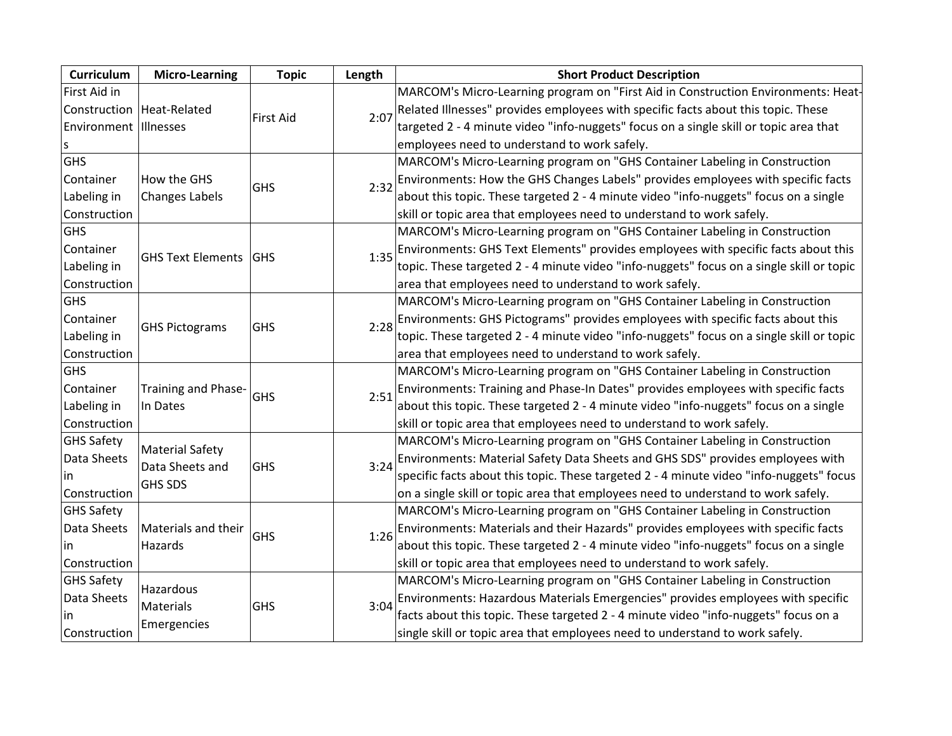| Curriculum            | <b>Micro-Learning</b>                     | <b>Topic</b>     | Length | <b>Short Product Description</b>                                                         |
|-----------------------|-------------------------------------------|------------------|--------|------------------------------------------------------------------------------------------|
| First Aid in          |                                           |                  |        | MARCOM's Micro-Learning program on "First Aid in Construction Environments: Heat-        |
|                       | Construction   Heat-Related               | <b>First Aid</b> | 2:07   | Related Illnesses" provides employees with specific facts about this topic. These        |
| Environment Illnesses |                                           |                  |        | targeted 2 - 4 minute video "info-nuggets" focus on a single skill or topic area that    |
| S                     |                                           |                  |        | employees need to understand to work safely.                                             |
| <b>GHS</b>            |                                           |                  |        | MARCOM's Micro-Learning program on "GHS Container Labeling in Construction               |
| Container             | How the GHS                               | <b>GHS</b>       | 2:32   | Environments: How the GHS Changes Labels" provides employees with specific facts         |
| Labeling in           | <b>Changes Labels</b>                     |                  |        | about this topic. These targeted 2 - 4 minute video "info-nuggets" focus on a single     |
| Construction          |                                           |                  |        | skill or topic area that employees need to understand to work safely.                    |
| GHS                   |                                           |                  |        | MARCOM's Micro-Learning program on "GHS Container Labeling in Construction               |
| Container             |                                           |                  | 1:35   | Environments: GHS Text Elements" provides employees with specific facts about this       |
| Labeling in           | GHS Text Elements   GHS                   |                  |        | topic. These targeted 2 - 4 minute video "info-nuggets" focus on a single skill or topic |
| Construction          |                                           |                  |        | area that employees need to understand to work safely.                                   |
| <b>GHS</b>            |                                           |                  |        | MARCOM's Micro-Learning program on "GHS Container Labeling in Construction               |
| Container             |                                           |                  |        | Environments: GHS Pictograms" provides employees with specific facts about this          |
| Labeling in           | <b>GHS Pictograms</b>                     | <b>GHS</b>       | 2:28   | topic. These targeted 2 - 4 minute video "info-nuggets" focus on a single skill or topic |
| Construction          |                                           |                  |        | area that employees need to understand to work safely.                                   |
| <b>GHS</b>            |                                           |                  |        | MARCOM's Micro-Learning program on "GHS Container Labeling in Construction               |
| Container             | Training and Phase-                       | <b>GHS</b>       | 2:51   | Environments: Training and Phase-In Dates" provides employees with specific facts        |
| Labeling in           | In Dates                                  |                  |        | about this topic. These targeted 2 - 4 minute video "info-nuggets" focus on a single     |
| Construction          |                                           |                  |        | skill or topic area that employees need to understand to work safely.                    |
| <b>GHS Safety</b>     |                                           |                  |        | MARCOM's Micro-Learning program on "GHS Container Labeling in Construction               |
| Data Sheets           | <b>Material Safety</b><br>Data Sheets and |                  |        | Environments: Material Safety Data Sheets and GHS SDS" provides employees with           |
| in                    |                                           | GHS              | 3:24   | specific facts about this topic. These targeted 2 - 4 minute video "info-nuggets" focus  |
| Construction          | <b>GHS SDS</b>                            |                  |        | on a single skill or topic area that employees need to understand to work safely.        |
| <b>GHS Safety</b>     |                                           |                  |        | MARCOM's Micro-Learning program on "GHS Container Labeling in Construction               |
| Data Sheets           | Materials and their                       | <b>GHS</b>       |        | Environments: Materials and their Hazards" provides employees with specific facts        |
| ın                    | Hazards                                   |                  | 1:26   | about this topic. These targeted 2 - 4 minute video "info-nuggets" focus on a single     |
| Construction          |                                           |                  |        | skill or topic area that employees need to understand to work safely.                    |
| <b>GHS Safety</b>     |                                           |                  |        | MARCOM's Micro-Learning program on "GHS Container Labeling in Construction               |
| Data Sheets           | Hazardous                                 |                  |        | Environments: Hazardous Materials Emergencies" provides employees with specific          |
| in                    | Materials                                 | <b>GHS</b>       | 3:04   | facts about this topic. These targeted 2 - 4 minute video "info-nuggets" focus on a      |
| Construction          | Emergencies                               |                  |        | single skill or topic area that employees need to understand to work safely.             |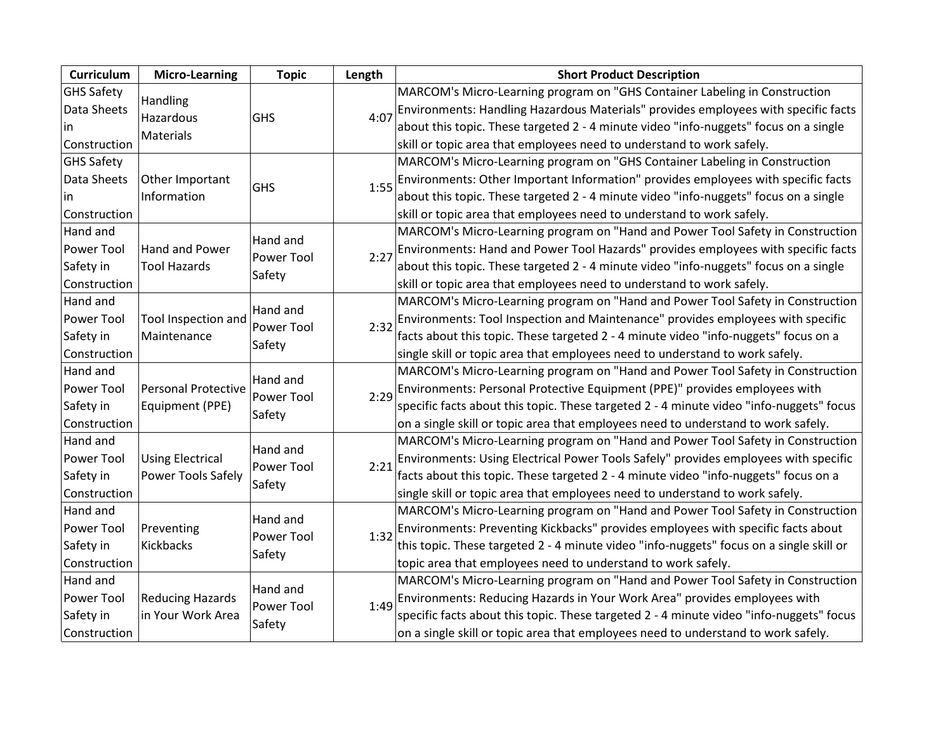| <b>Curriculum</b> | <b>Micro-Learning</b>      | <b>Topic</b> | Length | <b>Short Product Description</b>                                                        |
|-------------------|----------------------------|--------------|--------|-----------------------------------------------------------------------------------------|
| <b>GHS Safety</b> | Handling                   |              |        | MARCOM's Micro-Learning program on "GHS Container Labeling in Construction              |
| Data Sheets       | Hazardous                  | GHS          | 4:07   | Environments: Handling Hazardous Materials" provides employees with specific facts      |
| lin.              | Materials                  |              |        | about this topic. These targeted 2 - 4 minute video "info-nuggets" focus on a single    |
| Construction      |                            |              |        | skill or topic area that employees need to understand to work safely.                   |
| <b>GHS Safety</b> |                            |              |        | MARCOM's Micro-Learning program on "GHS Container Labeling in Construction              |
| Data Sheets       | Other Important            | GHS          | 1:55   | Environments: Other Important Information" provides employees with specific facts       |
| in.               | Information                |              |        | about this topic. These targeted 2 - 4 minute video "info-nuggets" focus on a single    |
| Construction      |                            |              |        | skill or topic area that employees need to understand to work safely.                   |
| Hand and          |                            | Hand and     |        | MARCOM's Micro-Learning program on "Hand and Power Tool Safety in Construction          |
| Power Tool        | Hand and Power             | Power Tool   | 2:27   | Environments: Hand and Power Tool Hazards" provides employees with specific facts       |
| Safety in         | <b>Tool Hazards</b>        | Safety       |        | about this topic. These targeted 2 - 4 minute video "info-nuggets" focus on a single    |
| Construction      |                            |              |        | skill or topic area that employees need to understand to work safely.                   |
| Hand and          |                            | Hand and     |        | MARCOM's Micro-Learning program on "Hand and Power Tool Safety in Construction          |
| Power Tool        | Tool Inspection and        | Power Tool   | 2:32   | Environments: Tool Inspection and Maintenance" provides employees with specific         |
| Safety in         | Maintenance                |              |        | facts about this topic. These targeted 2 - 4 minute video "info-nuggets" focus on a     |
| Construction      |                            | Safety       |        | single skill or topic area that employees need to understand to work safely.            |
| Hand and          |                            | Hand and     |        | MARCOM's Micro-Learning program on "Hand and Power Tool Safety in Construction          |
| Power Tool        | <b>Personal Protective</b> | Power Tool   | 2:29   | Environments: Personal Protective Equipment (PPE)" provides employees with              |
| Safety in         | Equipment (PPE)            |              |        | specific facts about this topic. These targeted 2 - 4 minute video "info-nuggets" focus |
| Construction      |                            | Safety       |        | on a single skill or topic area that employees need to understand to work safely.       |
| Hand and          |                            | Hand and     |        | MARCOM's Micro-Learning program on "Hand and Power Tool Safety in Construction          |
| Power Tool        | <b>Using Electrical</b>    | Power Tool   | 2:21   | Environments: Using Electrical Power Tools Safely" provides employees with specific     |
| Safety in         | Power Tools Safely         | Safety       |        | facts about this topic. These targeted 2 - 4 minute video "info-nuggets" focus on a     |
| Construction      |                            |              |        | single skill or topic area that employees need to understand to work safely.            |
| Hand and          |                            | Hand and     |        | MARCOM's Micro-Learning program on "Hand and Power Tool Safety in Construction          |
| Power Tool        | Preventing                 | Power Tool   | 1:32   | Environments: Preventing Kickbacks" provides employees with specific facts about        |
| Safety in         | Kickbacks                  |              |        | this topic. These targeted 2 - 4 minute video "info-nuggets" focus on a single skill or |
| Construction      |                            | Safety       |        | topic area that employees need to understand to work safely.                            |
| Hand and          |                            | Hand and     |        | MARCOM's Micro-Learning program on "Hand and Power Tool Safety in Construction          |
| Power Tool        | <b>Reducing Hazards</b>    | Power Tool   | 1:49   | Environments: Reducing Hazards in Your Work Area" provides employees with               |
| Safety in         | in Your Work Area          | Safety       |        | specific facts about this topic. These targeted 2 - 4 minute video "info-nuggets" focus |
| Construction      |                            |              |        | on a single skill or topic area that employees need to understand to work safely.       |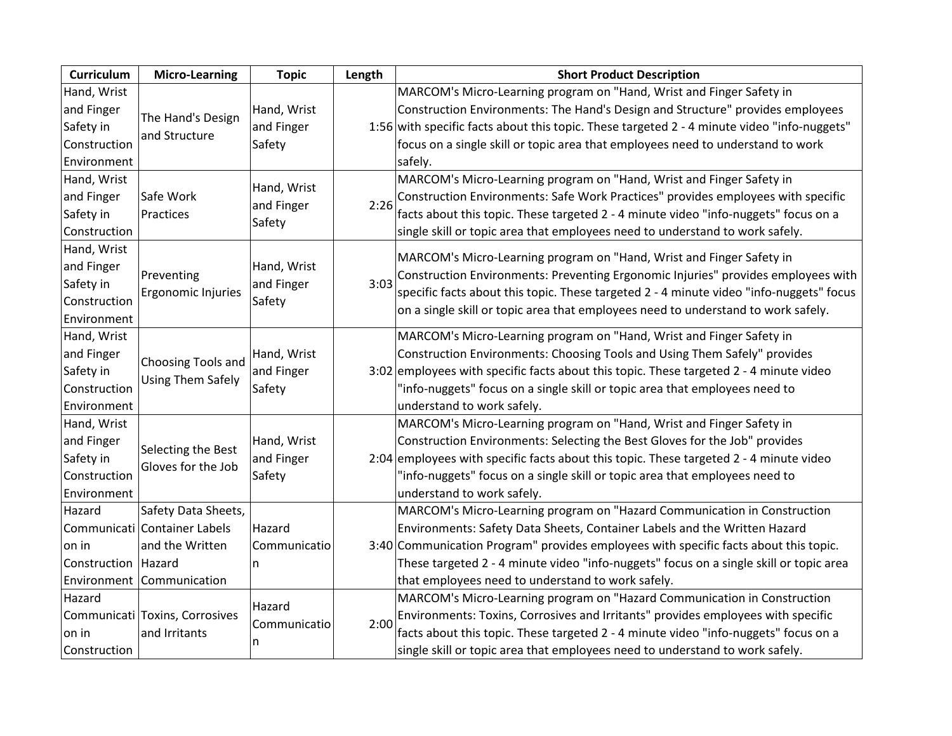| Curriculum            | <b>Micro-Learning</b>                          | <b>Topic</b><br>Length |      | <b>Short Product Description</b>                                                            |
|-----------------------|------------------------------------------------|------------------------|------|---------------------------------------------------------------------------------------------|
| Hand, Wrist           |                                                |                        |      | MARCOM's Micro-Learning program on "Hand, Wrist and Finger Safety in                        |
| and Finger            | The Hand's Design                              | Hand, Wrist            |      | Construction Environments: The Hand's Design and Structure" provides employees              |
| Safety in             | and Structure                                  | and Finger             |      | 1:56 with specific facts about this topic. These targeted 2 - 4 minute video "info-nuggets" |
| Construction          |                                                | Safety                 |      | focus on a single skill or topic area that employees need to understand to work             |
| Environment           |                                                |                        |      | safely.                                                                                     |
| Hand, Wrist           |                                                | Hand, Wrist            |      | MARCOM's Micro-Learning program on "Hand, Wrist and Finger Safety in                        |
| and Finger            | Safe Work                                      | and Finger             | 2:26 | Construction Environments: Safe Work Practices" provides employees with specific            |
| Safety in             | Practices                                      | Safety                 |      | facts about this topic. These targeted 2 - 4 minute video "info-nuggets" focus on a         |
| Construction          |                                                |                        |      | single skill or topic area that employees need to understand to work safely.                |
| Hand, Wrist           |                                                |                        |      | MARCOM's Micro-Learning program on "Hand, Wrist and Finger Safety in                        |
| and Finger            | Preventing                                     | Hand, Wrist            |      | Construction Environments: Preventing Ergonomic Injuries" provides employees with           |
| Safety in             |                                                | and Finger             | 3:03 |                                                                                             |
| Construction          | Ergonomic Injuries                             | Safety                 |      | specific facts about this topic. These targeted 2 - 4 minute video "info-nuggets" focus     |
| Environment           |                                                |                        |      | on a single skill or topic area that employees need to understand to work safely.           |
| Hand, Wrist           |                                                |                        |      | MARCOM's Micro-Learning program on "Hand, Wrist and Finger Safety in                        |
| and Finger            |                                                | Hand, Wrist            |      | Construction Environments: Choosing Tools and Using Them Safely" provides                   |
| Safety in             | Choosing Tools and<br><b>Using Them Safely</b> | and Finger             |      | 3:02 employees with specific facts about this topic. These targeted 2 - 4 minute video      |
| Construction          |                                                | Safety                 |      | "info-nuggets" focus on a single skill or topic area that employees need to                 |
| Environment           |                                                |                        |      | understand to work safely.                                                                  |
| Hand, Wrist           |                                                |                        |      | MARCOM's Micro-Learning program on "Hand, Wrist and Finger Safety in                        |
| and Finger            | Selecting the Best                             | Hand, Wrist            |      | Construction Environments: Selecting the Best Gloves for the Job" provides                  |
| Safety in             | Gloves for the Job                             | and Finger             |      | 2:04 employees with specific facts about this topic. These targeted $2 - 4$ minute video    |
| Construction          |                                                | Safety                 |      | "info-nuggets" focus on a single skill or topic area that employees need to                 |
| Environment           |                                                |                        |      | understand to work safely.                                                                  |
| Hazard                | Safety Data Sheets,                            |                        |      | MARCOM's Micro-Learning program on "Hazard Communication in Construction                    |
|                       | Communicati Container Labels                   | Hazard                 |      | Environments: Safety Data Sheets, Container Labels and the Written Hazard                   |
| on in                 | and the Written                                | Communicatio           |      | 3:40 Communication Program" provides employees with specific facts about this topic.        |
| Construction   Hazard |                                                | n                      |      | These targeted 2 - 4 minute video "info-nuggets" focus on a single skill or topic area      |
|                       | Environment Communication                      |                        |      | that employees need to understand to work safely.                                           |
| Hazard                |                                                | Hazard                 |      | MARCOM's Micro-Learning program on "Hazard Communication in Construction                    |
|                       | Communicati Toxins, Corrosives                 | Communicatio           | 2:00 | Environments: Toxins, Corrosives and Irritants" provides employees with specific            |
| on in                 | and Irritants                                  |                        |      | facts about this topic. These targeted 2 - 4 minute video "info-nuggets" focus on a         |
| Construction          |                                                | n                      |      | single skill or topic area that employees need to understand to work safely.                |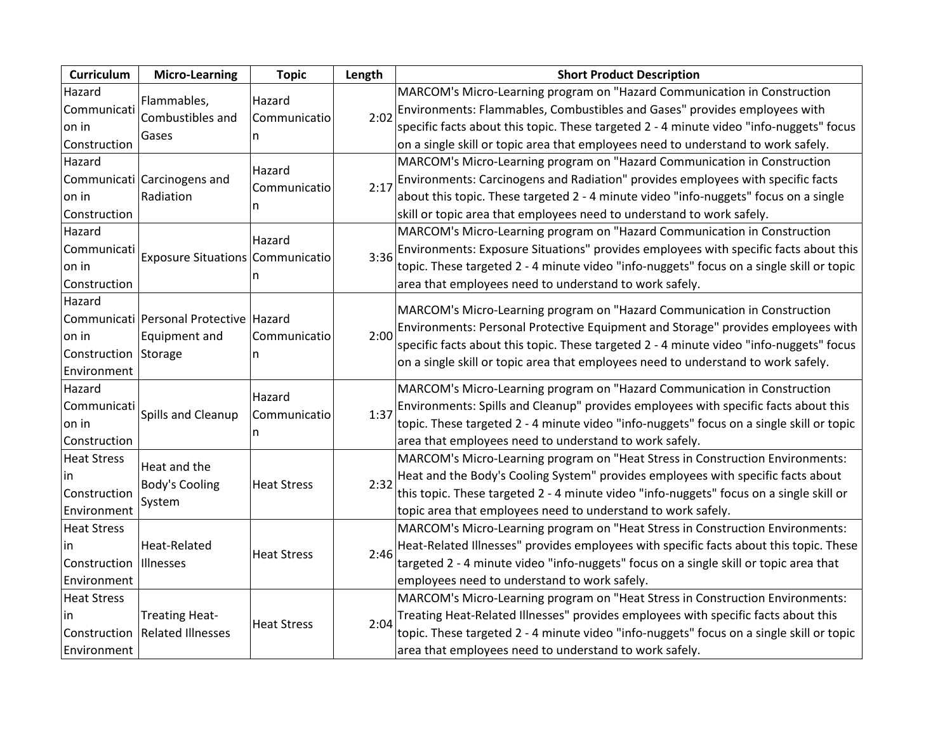| Curriculum               | <b>Micro-Learning</b>                  | <b>Topic</b> | Length | <b>Short Product Description</b>                                                         |
|--------------------------|----------------------------------------|--------------|--------|------------------------------------------------------------------------------------------|
| Hazard                   | Flammables,                            | Hazard       |        | MARCOM's Micro-Learning program on "Hazard Communication in Construction                 |
| Communicati              | Combustibles and                       | Communicatio | 2:02   | Environments: Flammables, Combustibles and Gases" provides employees with                |
| on in                    | Gases                                  |              |        | specific facts about this topic. These targeted 2 - 4 minute video "info-nuggets" focus  |
| Construction             |                                        | n            |        | on a single skill or topic area that employees need to understand to work safely.        |
| Hazard                   |                                        | Hazard       |        | MARCOM's Micro-Learning program on "Hazard Communication in Construction                 |
|                          | Communicati Carcinogens and            | Communicatio | 2:17   | Environments: Carcinogens and Radiation" provides employees with specific facts          |
| on in                    | Radiation                              |              |        | about this topic. These targeted 2 - 4 minute video "info-nuggets" focus on a single     |
| Construction             |                                        | n            |        | skill or topic area that employees need to understand to work safely.                    |
| Hazard                   |                                        | Hazard       |        | MARCOM's Micro-Learning program on "Hazard Communication in Construction                 |
| Communicati              | Exposure Situations Communicatio       |              | 3:36   | Environments: Exposure Situations" provides employees with specific facts about this     |
| on in                    |                                        |              |        | topic. These targeted 2 - 4 minute video "info-nuggets" focus on a single skill or topic |
| Construction             |                                        | n            |        | area that employees need to understand to work safely.                                   |
| Hazard                   |                                        |              |        |                                                                                          |
|                          | Communicati Personal Protective Hazard |              |        | MARCOM's Micro-Learning program on "Hazard Communication in Construction                 |
| on in                    | Equipment and                          | Communicatio | 2:00   | Environments: Personal Protective Equipment and Storage" provides employees with         |
| Construction Storage     |                                        | n            |        | specific facts about this topic. These targeted 2 - 4 minute video "info-nuggets" focus  |
| Environment              |                                        |              |        | on a single skill or topic area that employees need to understand to work safely.        |
| Hazard                   |                                        | Hazard       |        | MARCOM's Micro-Learning program on "Hazard Communication in Construction                 |
| Communicati              |                                        |              | 1:37   | Environments: Spills and Cleanup" provides employees with specific facts about this      |
| on in                    | Spills and Cleanup                     | Communicatio |        | topic. These targeted 2 - 4 minute video "info-nuggets" focus on a single skill or topic |
| Construction             |                                        | n            |        | area that employees need to understand to work safely.                                   |
| <b>Heat Stress</b>       | Heat and the                           |              |        | MARCOM's Micro-Learning program on "Heat Stress in Construction Environments:            |
| in                       |                                        |              |        | Heat and the Body's Cooling System" provides employees with specific facts about         |
| Construction             | <b>Body's Cooling</b>                  | Heat Stress  | 2:32   | this topic. These targeted 2 - 4 minute video "info-nuggets" focus on a single skill or  |
| Environment              | System                                 |              |        | topic area that employees need to understand to work safely.                             |
| <b>Heat Stress</b>       |                                        |              |        | MARCOM's Micro-Learning program on "Heat Stress in Construction Environments:            |
| in                       | <b>Heat-Related</b>                    |              |        | Heat-Related Illnesses" provides employees with specific facts about this topic. These   |
| Construction   Illnesses |                                        | Heat Stress  | 2:46   | targeted 2 - 4 minute video "info-nuggets" focus on a single skill or topic area that    |
| Environment              |                                        |              |        | employees need to understand to work safely.                                             |
| <b>Heat Stress</b>       |                                        |              |        | MARCOM's Micro-Learning program on "Heat Stress in Construction Environments:            |
| in.                      | <b>Treating Heat-</b>                  |              |        | Treating Heat-Related Illnesses" provides employees with specific facts about this       |
| Construction             | <b>Related Illnesses</b>               | Heat Stress  | 2:04   | topic. These targeted 2 - 4 minute video "info-nuggets" focus on a single skill or topic |
| Environment              |                                        |              |        | area that employees need to understand to work safely.                                   |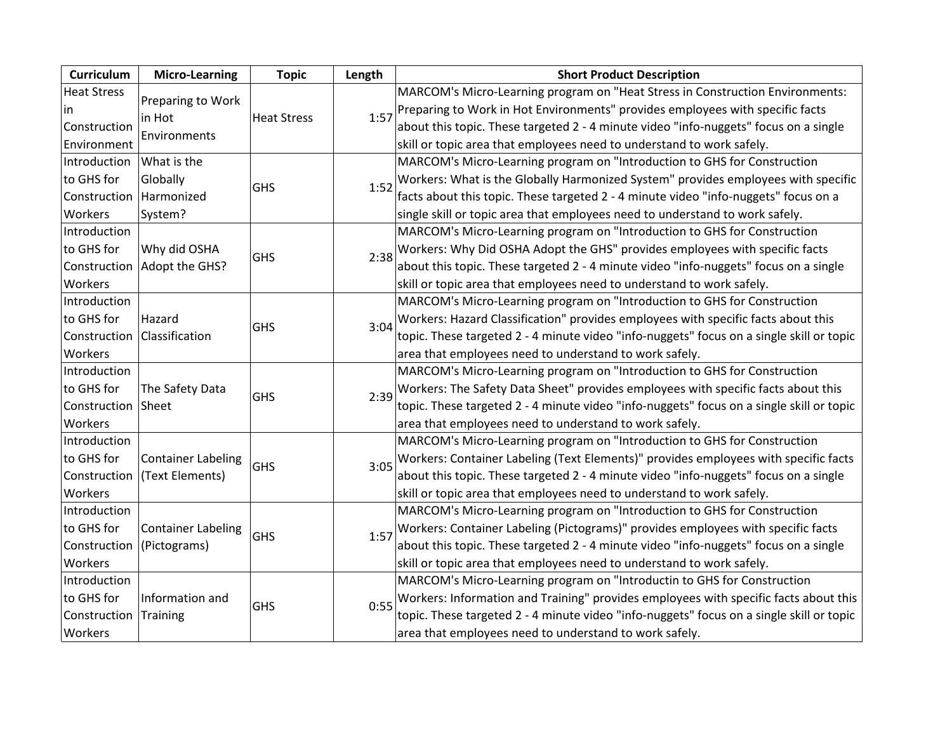| Curriculum         | <b>Micro-Learning</b>     | <b>Topic</b>       | Length | <b>Short Product Description</b>                                                         |
|--------------------|---------------------------|--------------------|--------|------------------------------------------------------------------------------------------|
| <b>Heat Stress</b> | Preparing to Work         |                    |        | MARCOM's Micro-Learning program on "Heat Stress in Construction Environments:            |
| lin                | in Hot                    | <b>Heat Stress</b> | 1:57   | Preparing to Work in Hot Environments" provides employees with specific facts            |
| Construction       | Environments              |                    |        | about this topic. These targeted 2 - 4 minute video "info-nuggets" focus on a single     |
| Environment        |                           |                    |        | skill or topic area that employees need to understand to work safely.                    |
| Introduction       | What is the               |                    |        | MARCOM's Micro-Learning program on "Introduction to GHS for Construction                 |
| to GHS for         | Globally                  | GHS                | 1:52   | Workers: What is the Globally Harmonized System" provides employees with specific        |
| Construction       | Harmonized                |                    |        | facts about this topic. These targeted 2 - 4 minute video "info-nuggets" focus on a      |
| Workers            | System?                   |                    |        | single skill or topic area that employees need to understand to work safely.             |
| Introduction       |                           |                    |        | MARCOM's Micro-Learning program on "Introduction to GHS for Construction                 |
| to GHS for         | Why did OSHA              | <b>GHS</b>         | 2:38   | Workers: Why Did OSHA Adopt the GHS" provides employees with specific facts              |
| Construction       | Adopt the GHS?            |                    |        | about this topic. These targeted 2 - 4 minute video "info-nuggets" focus on a single     |
| Workers            |                           |                    |        | skill or topic area that employees need to understand to work safely.                    |
| Introduction       |                           |                    |        | MARCOM's Micro-Learning program on "Introduction to GHS for Construction                 |
| to GHS for         | Hazard                    | <b>GHS</b>         | 3:04   | Workers: Hazard Classification" provides employees with specific facts about this        |
| Construction       | Classification            |                    |        | topic. These targeted 2 - 4 minute video "info-nuggets" focus on a single skill or topic |
| Workers            |                           |                    |        | area that employees need to understand to work safely.                                   |
| Introduction       |                           |                    |        | MARCOM's Micro-Learning program on "Introduction to GHS for Construction                 |
| to GHS for         | The Safety Data           | GHS                | 2:39   | Workers: The Safety Data Sheet" provides employees with specific facts about this        |
| Construction Sheet |                           |                    |        | topic. These targeted 2 - 4 minute video "info-nuggets" focus on a single skill or topic |
| Workers            |                           |                    |        | area that employees need to understand to work safely.                                   |
| Introduction       |                           |                    |        | MARCOM's Micro-Learning program on "Introduction to GHS for Construction                 |
| to GHS for         | <b>Container Labeling</b> | <b>GHS</b>         | 3:05   | Workers: Container Labeling (Text Elements)" provides employees with specific facts      |
| Construction       | (Text Elements)           |                    |        | about this topic. These targeted 2 - 4 minute video "info-nuggets" focus on a single     |
| Workers            |                           |                    |        | skill or topic area that employees need to understand to work safely.                    |
| Introduction       |                           |                    |        | MARCOM's Micro-Learning program on "Introduction to GHS for Construction                 |
| to GHS for         | <b>Container Labeling</b> | GHS                | 1:57   | Workers: Container Labeling (Pictograms)" provides employees with specific facts         |
| Construction       | (Pictograms)              |                    |        | about this topic. These targeted 2 - 4 minute video "info-nuggets" focus on a single     |
| Workers            |                           |                    |        | skill or topic area that employees need to understand to work safely.                    |
| Introduction       |                           |                    |        | MARCOM's Micro-Learning program on "Introductin to GHS for Construction                  |
| to GHS for         | Information and           | GHS                | 0:55   | Workers: Information and Training" provides employees with specific facts about this     |
| Construction       | Training                  |                    |        | topic. These targeted 2 - 4 minute video "info-nuggets" focus on a single skill or topic |
| Workers            |                           |                    |        | area that employees need to understand to work safely.                                   |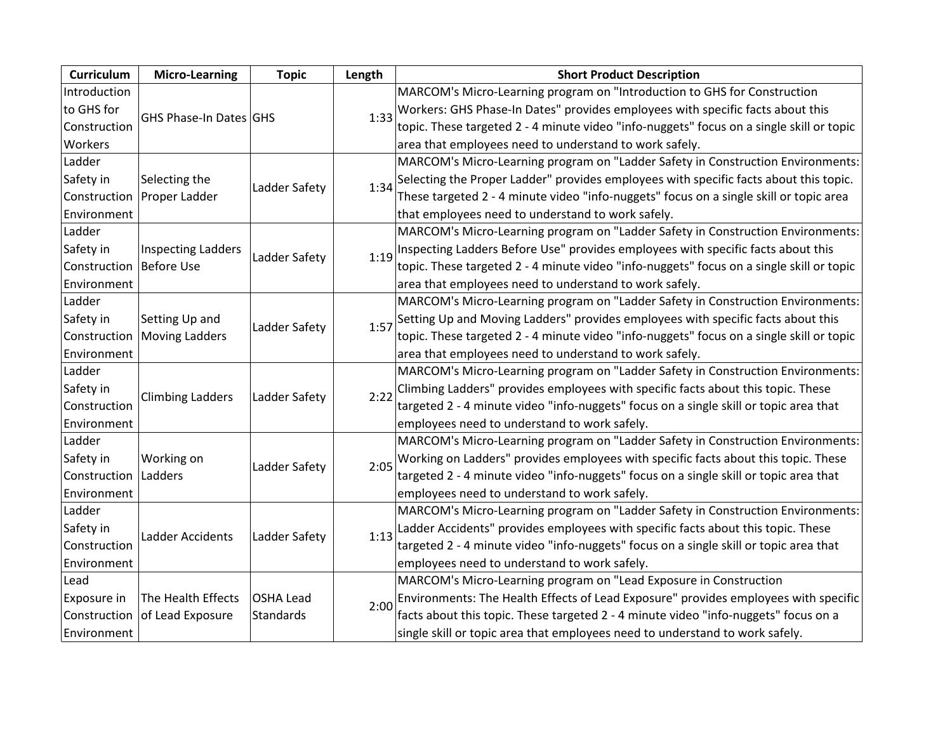| Curriculum   | <b>Micro-Learning</b>     | <b>Topic</b>  | Length | <b>Short Product Description</b>                                                         |
|--------------|---------------------------|---------------|--------|------------------------------------------------------------------------------------------|
| Introduction |                           |               |        | MARCOM's Micro-Learning program on "Introduction to GHS for Construction                 |
| to GHS for   | GHS Phase-In Dates GHS    |               | 1:33   | Workers: GHS Phase-In Dates" provides employees with specific facts about this           |
| Construction |                           |               |        | topic. These targeted 2 - 4 minute video "info-nuggets" focus on a single skill or topic |
| Workers      |                           |               |        | area that employees need to understand to work safely.                                   |
| Ladder       |                           |               |        | MARCOM's Micro-Learning program on "Ladder Safety in Construction Environments:          |
| Safety in    | Selecting the             | Ladder Safety | 1:34   | Selecting the Proper Ladder" provides employees with specific facts about this topic.    |
| Construction | Proper Ladder             |               |        | These targeted 2 - 4 minute video "info-nuggets" focus on a single skill or topic area   |
| Environment  |                           |               |        | that employees need to understand to work safely.                                        |
| Ladder       |                           |               |        | MARCOM's Micro-Learning program on "Ladder Safety in Construction Environments:          |
| Safety in    | <b>Inspecting Ladders</b> | Ladder Safety | 1:19   | Inspecting Ladders Before Use" provides employees with specific facts about this         |
| Construction | <b>Before Use</b>         |               |        | topic. These targeted 2 - 4 minute video "info-nuggets" focus on a single skill or topic |
| Environment  |                           |               |        | area that employees need to understand to work safely.                                   |
| Ladder       |                           |               |        | MARCOM's Micro-Learning program on "Ladder Safety in Construction Environments:          |
| Safety in    | Setting Up and            | Ladder Safety | 1:57   | Setting Up and Moving Ladders" provides employees with specific facts about this         |
| Construction | <b>Moving Ladders</b>     |               |        | topic. These targeted 2 - 4 minute video "info-nuggets" focus on a single skill or topic |
| Environment  |                           |               |        | area that employees need to understand to work safely.                                   |
| Ladder       |                           |               |        | MARCOM's Micro-Learning program on "Ladder Safety in Construction Environments:          |
| Safety in    | <b>Climbing Ladders</b>   | Ladder Safety | 2:22   | Climbing Ladders" provides employees with specific facts about this topic. These         |
| Construction |                           |               |        | targeted 2 - 4 minute video "info-nuggets" focus on a single skill or topic area that    |
| Environment  |                           |               |        | employees need to understand to work safely.                                             |
| Ladder       |                           |               |        | MARCOM's Micro-Learning program on "Ladder Safety in Construction Environments:          |
| Safety in    | Working on                | Ladder Safety | 2:05   | Working on Ladders" provides employees with specific facts about this topic. These       |
| Construction | Ladders                   |               |        | targeted 2 - 4 minute video "info-nuggets" focus on a single skill or topic area that    |
| Environment  |                           |               |        | employees need to understand to work safely.                                             |
| Ladder       |                           |               |        | MARCOM's Micro-Learning program on "Ladder Safety in Construction Environments:          |
| Safety in    | Ladder Accidents          |               | 1:13   | Ladder Accidents" provides employees with specific facts about this topic. These         |
| Construction |                           | Ladder Safety |        | targeted 2 - 4 minute video "info-nuggets" focus on a single skill or topic area that    |
| Environment  |                           |               |        | employees need to understand to work safely.                                             |
| Lead         |                           |               |        | MARCOM's Micro-Learning program on "Lead Exposure in Construction                        |
| Exposure in  | The Health Effects        | OSHA Lead     | 2:00   | Environments: The Health Effects of Lead Exposure" provides employees with specific      |
| Construction | of Lead Exposure          | Standards     |        | facts about this topic. These targeted 2 - 4 minute video "info-nuggets" focus on a      |
| Environment  |                           |               |        | single skill or topic area that employees need to understand to work safely.             |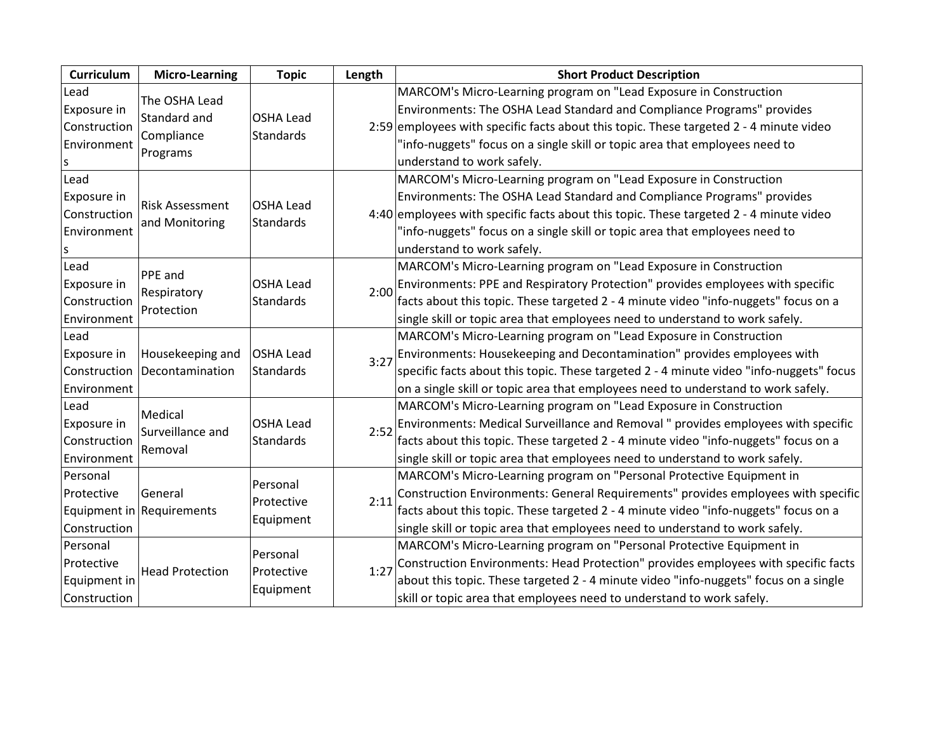| <b>Curriculum</b> | <b>Micro-Learning</b>                | <b>Topic</b>                         | Length | <b>Short Product Description</b>                                                         |
|-------------------|--------------------------------------|--------------------------------------|--------|------------------------------------------------------------------------------------------|
| Lead              | The OSHA Lead                        |                                      |        | MARCOM's Micro-Learning program on "Lead Exposure in Construction                        |
| Exposure in       | Standard and                         | <b>OSHA Lead</b>                     |        | Environments: The OSHA Lead Standard and Compliance Programs" provides                   |
| Construction      | Compliance                           | <b>Standards</b>                     |        | 2:59 employees with specific facts about this topic. These targeted 2 - 4 minute video   |
| Environment       | Programs                             |                                      |        | "info-nuggets" focus on a single skill or topic area that employees need to              |
| ls                |                                      |                                      |        | understand to work safely.                                                               |
| Lead              |                                      |                                      |        | MARCOM's Micro-Learning program on "Lead Exposure in Construction                        |
| Exposure in       | <b>Risk Assessment</b>               | <b>OSHA Lead</b>                     |        | Environments: The OSHA Lead Standard and Compliance Programs" provides                   |
| Construction      | and Monitoring                       | Standards                            |        | 4:40 employees with specific facts about this topic. These targeted $2 - 4$ minute video |
| Environment       |                                      |                                      |        | "info-nuggets" focus on a single skill or topic area that employees need to              |
| ls                |                                      |                                      |        | understand to work safely.                                                               |
| Lead              | PPE and                              |                                      |        | MARCOM's Micro-Learning program on "Lead Exposure in Construction                        |
| Exposure in       | Respiratory                          | <b>OSHA Lead</b><br><b>Standards</b> | 2:00   | Environments: PPE and Respiratory Protection" provides employees with specific           |
| Construction      | Protection                           |                                      |        | facts about this topic. These targeted 2 - 4 minute video "info-nuggets" focus on a      |
| Environment       |                                      |                                      |        | single skill or topic area that employees need to understand to work safely.             |
| Lead              |                                      |                                      |        | MARCOM's Micro-Learning program on "Lead Exposure in Construction                        |
| Exposure in       | Housekeeping and                     | <b>OSHA Lead</b>                     | 3:27   | Environments: Housekeeping and Decontamination" provides employees with                  |
| Construction      | Decontamination                      | <b>Standards</b>                     |        | specific facts about this topic. These targeted 2 - 4 minute video "info-nuggets" focus  |
| Environment       |                                      |                                      |        | on a single skill or topic area that employees need to understand to work safely.        |
| Lead              | Medical                              |                                      |        | MARCOM's Micro-Learning program on "Lead Exposure in Construction                        |
| Exposure in       | Surveillance and                     | <b>OSHA Lead</b>                     | 2:52   | Environments: Medical Surveillance and Removal " provides employees with specific        |
| Construction      | Removal                              | Standards                            |        | facts about this topic. These targeted 2 - 4 minute video "info-nuggets" focus on a      |
| Environment       |                                      |                                      |        | single skill or topic area that employees need to understand to work safely.             |
| Personal          |                                      | Personal                             | 2:11   | MARCOM's Micro-Learning program on "Personal Protective Equipment in                     |
| Protective        | General<br>Equipment in Requirements | Protective                           |        | Construction Environments: General Requirements" provides employees with specific        |
|                   |                                      | Equipment                            |        | facts about this topic. These targeted 2 - 4 minute video "info-nuggets" focus on a      |
| Construction      |                                      |                                      |        | single skill or topic area that employees need to understand to work safely.             |
| Personal          |                                      | Personal                             |        | MARCOM's Micro-Learning program on "Personal Protective Equipment in                     |
| Protective        | <b>Head Protection</b>               | Protective                           | 1:27   | Construction Environments: Head Protection" provides employees with specific facts       |
| Equipment in      |                                      | Equipment                            |        | about this topic. These targeted 2 - 4 minute video "info-nuggets" focus on a single     |
| Construction      |                                      |                                      |        | skill or topic area that employees need to understand to work safely.                    |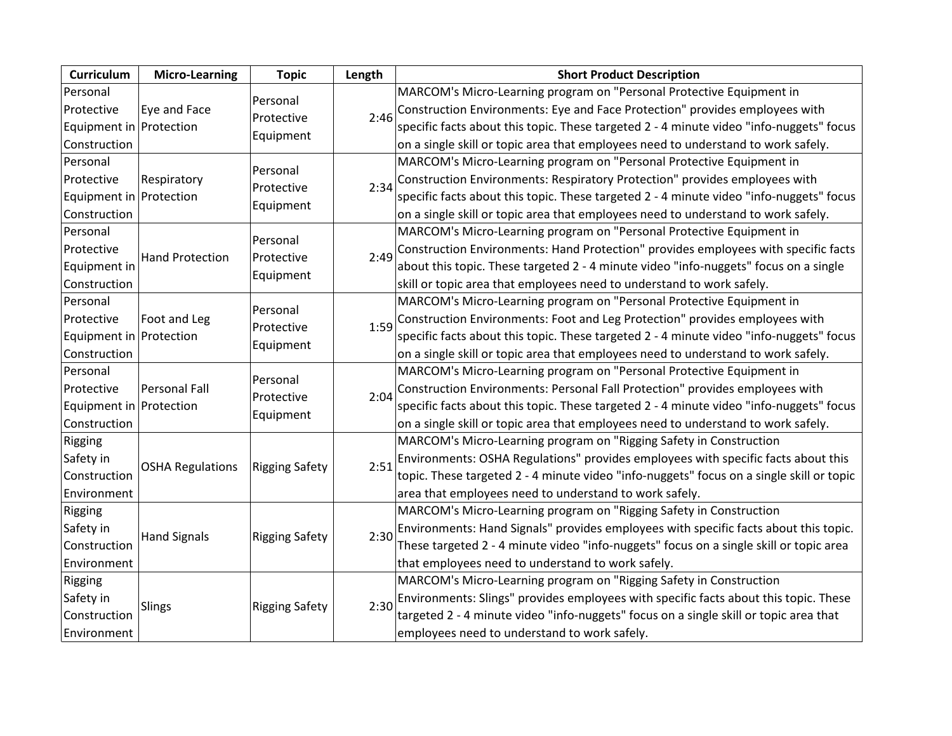| Curriculum              | <b>Micro-Learning</b>   | <b>Topic</b>                        | Length | <b>Short Product Description</b>                                                         |
|-------------------------|-------------------------|-------------------------------------|--------|------------------------------------------------------------------------------------------|
| Personal                |                         |                                     |        | MARCOM's Micro-Learning program on "Personal Protective Equipment in                     |
| Protective              | Eye and Face            | Personal                            | 2:46   | Construction Environments: Eye and Face Protection" provides employees with              |
| Equipment in Protection |                         | Protective                          |        | specific facts about this topic. These targeted 2 - 4 minute video "info-nuggets" focus  |
| Construction            |                         | Equipment                           |        | on a single skill or topic area that employees need to understand to work safely.        |
| Personal                |                         | Personal                            |        | MARCOM's Micro-Learning program on "Personal Protective Equipment in                     |
| Protective              | Respiratory             | Protective                          | 2:34   | Construction Environments: Respiratory Protection" provides employees with               |
| Equipment in Protection |                         |                                     |        | specific facts about this topic. These targeted 2 - 4 minute video "info-nuggets" focus  |
| Construction            |                         | Equipment                           |        | on a single skill or topic area that employees need to understand to work safely.        |
| Personal                |                         | Personal                            |        | MARCOM's Micro-Learning program on "Personal Protective Equipment in                     |
| Protective              | <b>Hand Protection</b>  | Protective                          | 2:49   | Construction Environments: Hand Protection" provides employees with specific facts       |
| Equipment in            |                         | Equipment                           |        | about this topic. These targeted 2 - 4 minute video "info-nuggets" focus on a single     |
| Construction            |                         |                                     |        | skill or topic area that employees need to understand to work safely.                    |
| Personal                |                         | Personal<br>Protective              | 1:59   | MARCOM's Micro-Learning program on "Personal Protective Equipment in                     |
| Protective              | Foot and Leg            |                                     |        | Construction Environments: Foot and Leg Protection" provides employees with              |
| Equipment in Protection |                         |                                     |        | specific facts about this topic. These targeted 2 - 4 minute video "info-nuggets" focus  |
| Construction            |                         | Equipment                           |        | on a single skill or topic area that employees need to understand to work safely.        |
| Personal                |                         | Personal<br>Protective<br>Equipment | 2:04   | MARCOM's Micro-Learning program on "Personal Protective Equipment in                     |
| Protective              | <b>Personal Fall</b>    |                                     |        | Construction Environments: Personal Fall Protection" provides employees with             |
| Equipment in Protection |                         |                                     |        | specific facts about this topic. These targeted 2 - 4 minute video "info-nuggets" focus  |
| Construction            |                         |                                     |        | on a single skill or topic area that employees need to understand to work safely.        |
| Rigging                 |                         |                                     |        | MARCOM's Micro-Learning program on "Rigging Safety in Construction                       |
| Safety in               |                         | <b>Rigging Safety</b>               | 2:51   | Environments: OSHA Regulations" provides employees with specific facts about this        |
| Construction            | <b>OSHA Regulations</b> |                                     |        | topic. These targeted 2 - 4 minute video "info-nuggets" focus on a single skill or topic |
| Environment             |                         |                                     |        | area that employees need to understand to work safely.                                   |
| Rigging                 |                         |                                     |        | MARCOM's Micro-Learning program on "Rigging Safety in Construction                       |
| Safety in               | <b>Hand Signals</b>     | <b>Rigging Safety</b>               | 2:30   | Environments: Hand Signals" provides employees with specific facts about this topic.     |
| Construction            |                         |                                     |        | These targeted 2 - 4 minute video "info-nuggets" focus on a single skill or topic area   |
| Environment             |                         |                                     |        | that employees need to understand to work safely.                                        |
| Rigging                 |                         |                                     |        | MARCOM's Micro-Learning program on "Rigging Safety in Construction                       |
| Safety in               |                         | <b>Rigging Safety</b>               | 2:30   | Environments: Slings" provides employees with specific facts about this topic. These     |
| Construction            | Slings                  |                                     |        | targeted 2 - 4 minute video "info-nuggets" focus on a single skill or topic area that    |
| Environment             |                         |                                     |        | employees need to understand to work safely.                                             |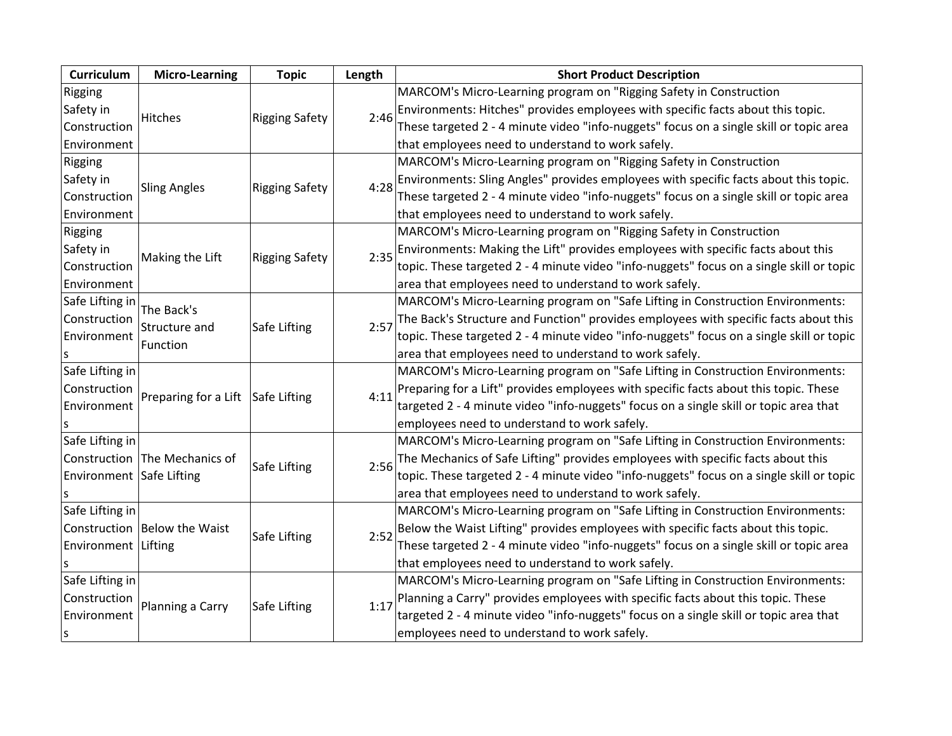| Curriculum               | <b>Micro-Learning</b>             | <b>Topic</b>          | Length                                                                                 | <b>Short Product Description</b>                                                         |
|--------------------------|-----------------------------------|-----------------------|----------------------------------------------------------------------------------------|------------------------------------------------------------------------------------------|
| Rigging                  |                                   |                       |                                                                                        | MARCOM's Micro-Learning program on "Rigging Safety in Construction                       |
| Safety in                | Hitches                           |                       | 2:46                                                                                   | Environments: Hitches" provides employees with specific facts about this topic.          |
| Construction             |                                   | <b>Rigging Safety</b> |                                                                                        | These targeted 2 - 4 minute video "info-nuggets" focus on a single skill or topic area   |
| Environment              |                                   |                       |                                                                                        | that employees need to understand to work safely.                                        |
| Rigging                  |                                   |                       |                                                                                        | MARCOM's Micro-Learning program on "Rigging Safety in Construction                       |
| Safety in                |                                   |                       | 4:28                                                                                   | Environments: Sling Angles" provides employees with specific facts about this topic.     |
| Construction             | <b>Sling Angles</b>               | <b>Rigging Safety</b> |                                                                                        | These targeted 2 - 4 minute video "info-nuggets" focus on a single skill or topic area   |
| Environment              |                                   |                       |                                                                                        | that employees need to understand to work safely.                                        |
| Rigging                  |                                   |                       |                                                                                        | MARCOM's Micro-Learning program on "Rigging Safety in Construction                       |
| Safety in                | Making the Lift                   | <b>Rigging Safety</b> | 2:35                                                                                   | Environments: Making the Lift" provides employees with specific facts about this         |
| Construction             |                                   |                       |                                                                                        | topic. These targeted 2 - 4 minute video "info-nuggets" focus on a single skill or topic |
| Environment              |                                   |                       |                                                                                        | area that employees need to understand to work safely.                                   |
| Safe Lifting in          | The Back's                        |                       |                                                                                        | MARCOM's Micro-Learning program on "Safe Lifting in Construction Environments:           |
| Construction             | Structure and                     | Safe Lifting          | 2:57                                                                                   | The Back's Structure and Function" provides employees with specific facts about this     |
| Environment              | Function                          |                       |                                                                                        | topic. These targeted 2 - 4 minute video "info-nuggets" focus on a single skill or topic |
|                          |                                   |                       |                                                                                        | area that employees need to understand to work safely.                                   |
| Safe Lifting in          |                                   |                       |                                                                                        | MARCOM's Micro-Learning program on "Safe Lifting in Construction Environments:           |
| Construction             | Preparing for a Lift Safe Lifting |                       | 4:11                                                                                   | Preparing for a Lift" provides employees with specific facts about this topic. These     |
| Environment              |                                   |                       |                                                                                        | targeted 2 - 4 minute video "info-nuggets" focus on a single skill or topic area that    |
| S                        |                                   |                       |                                                                                        | employees need to understand to work safely.                                             |
| Safe Lifting in          |                                   |                       |                                                                                        | MARCOM's Micro-Learning program on "Safe Lifting in Construction Environments:           |
|                          | Construction The Mechanics of     | Safe Lifting          | 2:56                                                                                   | The Mechanics of Safe Lifting" provides employees with specific facts about this         |
| Environment Safe Lifting |                                   |                       |                                                                                        | topic. These targeted 2 - 4 minute video "info-nuggets" focus on a single skill or topic |
|                          |                                   |                       |                                                                                        | area that employees need to understand to work safely.                                   |
| Safe Lifting in          |                                   |                       |                                                                                        | MARCOM's Micro-Learning program on "Safe Lifting in Construction Environments:           |
|                          | Construction Below the Waist      |                       | 2:52                                                                                   | Below the Waist Lifting" provides employees with specific facts about this topic.        |
| Environment   Lifting    | Safe Lifting                      |                       | These targeted 2 - 4 minute video "info-nuggets" focus on a single skill or topic area |                                                                                          |
|                          |                                   |                       |                                                                                        | that employees need to understand to work safely.                                        |
| Safe Lifting in          |                                   |                       |                                                                                        | MARCOM's Micro-Learning program on "Safe Lifting in Construction Environments:           |
| Construction             |                                   |                       | 1:17                                                                                   | Planning a Carry" provides employees with specific facts about this topic. These         |
| Environment              | Planning a Carry                  | Safe Lifting          |                                                                                        | targeted 2 - 4 minute video "info-nuggets" focus on a single skill or topic area that    |
| s                        |                                   |                       |                                                                                        | employees need to understand to work safely.                                             |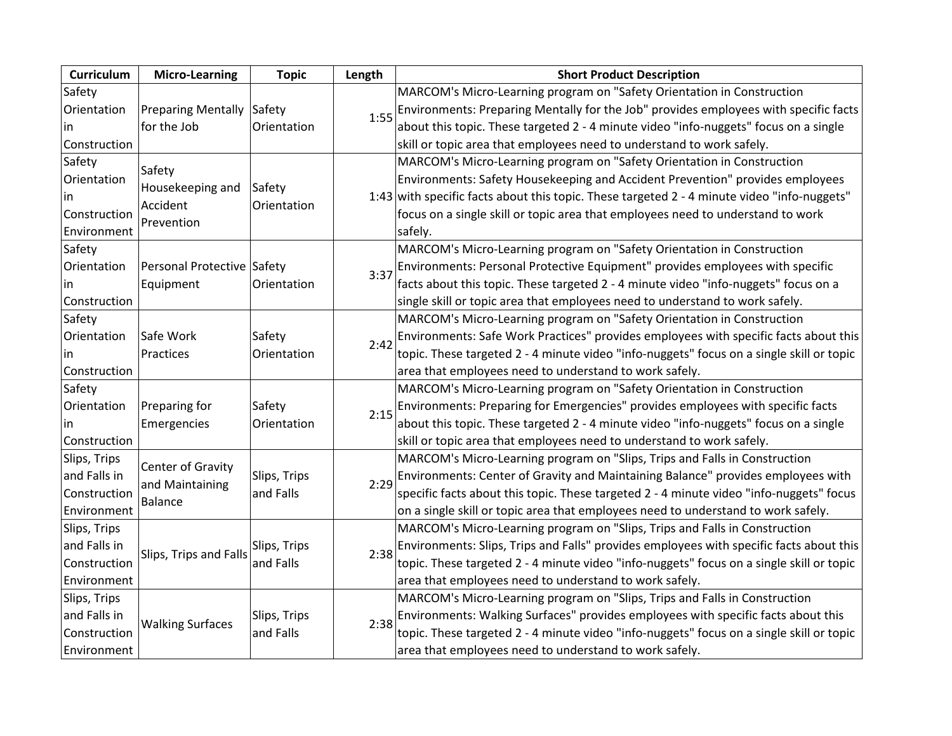| Curriculum   | <b>Micro-Learning</b>        | <b>Topic</b>          | Length | <b>Short Product Description</b>                                                            |
|--------------|------------------------------|-----------------------|--------|---------------------------------------------------------------------------------------------|
| Safety       |                              |                       |        | MARCOM's Micro-Learning program on "Safety Orientation in Construction                      |
| Orientation  | Preparing Mentally Safety    |                       | 1:55   | Environments: Preparing Mentally for the Job" provides employees with specific facts        |
| lin          | for the Job                  | Orientation           |        | about this topic. These targeted 2 - 4 minute video "info-nuggets" focus on a single        |
| Construction |                              |                       |        | skill or topic area that employees need to understand to work safely.                       |
| Safety       | Safety                       |                       |        | MARCOM's Micro-Learning program on "Safety Orientation in Construction                      |
| Orientation  |                              |                       |        | Environments: Safety Housekeeping and Accident Prevention" provides employees               |
| lin          | Housekeeping and<br>Accident | Safety<br>Orientation |        | 1:43 with specific facts about this topic. These targeted 2 - 4 minute video "info-nuggets" |
| Construction |                              |                       |        | focus on a single skill or topic area that employees need to understand to work             |
| Environment  | Prevention                   |                       |        | safely.                                                                                     |
| Safety       |                              |                       |        | MARCOM's Micro-Learning program on "Safety Orientation in Construction                      |
| Orientation  | Personal Protective Safety   |                       | 3:37   | Environments: Personal Protective Equipment" provides employees with specific               |
| lin          | Equipment                    | Orientation           |        | facts about this topic. These targeted 2 - 4 minute video "info-nuggets" focus on a         |
| Construction |                              |                       |        | single skill or topic area that employees need to understand to work safely.                |
| Safety       |                              |                       |        | MARCOM's Micro-Learning program on "Safety Orientation in Construction                      |
| Orientation  | Safe Work                    | Safety                | 2:42   | Environments: Safe Work Practices" provides employees with specific facts about this        |
| lin          | Practices                    | Orientation           |        | topic. These targeted 2 - 4 minute video "info-nuggets" focus on a single skill or topic    |
| Construction |                              |                       |        | area that employees need to understand to work safely.                                      |
| Safety       |                              |                       |        | MARCOM's Micro-Learning program on "Safety Orientation in Construction                      |
| Orientation  | Preparing for                | Safety                | 2:15   | Environments: Preparing for Emergencies" provides employees with specific facts             |
| lin          | Emergencies                  | Orientation           |        | about this topic. These targeted 2 - 4 minute video "info-nuggets" focus on a single        |
| Construction |                              |                       |        | skill or topic area that employees need to understand to work safely.                       |
| Slips, Trips | Center of Gravity            |                       |        | MARCOM's Micro-Learning program on "Slips, Trips and Falls in Construction                  |
| and Falls in | and Maintaining              | Slips, Trips          | 2:29   | Environments: Center of Gravity and Maintaining Balance" provides employees with            |
| Construction | Balance                      | and Falls             |        | specific facts about this topic. These targeted 2 - 4 minute video "info-nuggets" focus     |
| Environment  |                              |                       |        | on a single skill or topic area that employees need to understand to work safely.           |
| Slips, Trips |                              |                       |        | MARCOM's Micro-Learning program on "Slips, Trips and Falls in Construction                  |
| and Falls in | Slips, Trips and Falls       | Slips, Trips          | 2:38   | Environments: Slips, Trips and Falls" provides employees with specific facts about this     |
| Construction |                              | and Falls             |        | topic. These targeted 2 - 4 minute video "info-nuggets" focus on a single skill or topic    |
| Environment  |                              |                       |        | area that employees need to understand to work safely.                                      |
| Slips, Trips |                              |                       |        | MARCOM's Micro-Learning program on "Slips, Trips and Falls in Construction                  |
| and Falls in | <b>Walking Surfaces</b>      | Slips, Trips          | 2:38   | Environments: Walking Surfaces" provides employees with specific facts about this           |
| Construction |                              | and Falls             |        | topic. These targeted 2 - 4 minute video "info-nuggets" focus on a single skill or topic    |
| Environment  |                              |                       |        | area that employees need to understand to work safely.                                      |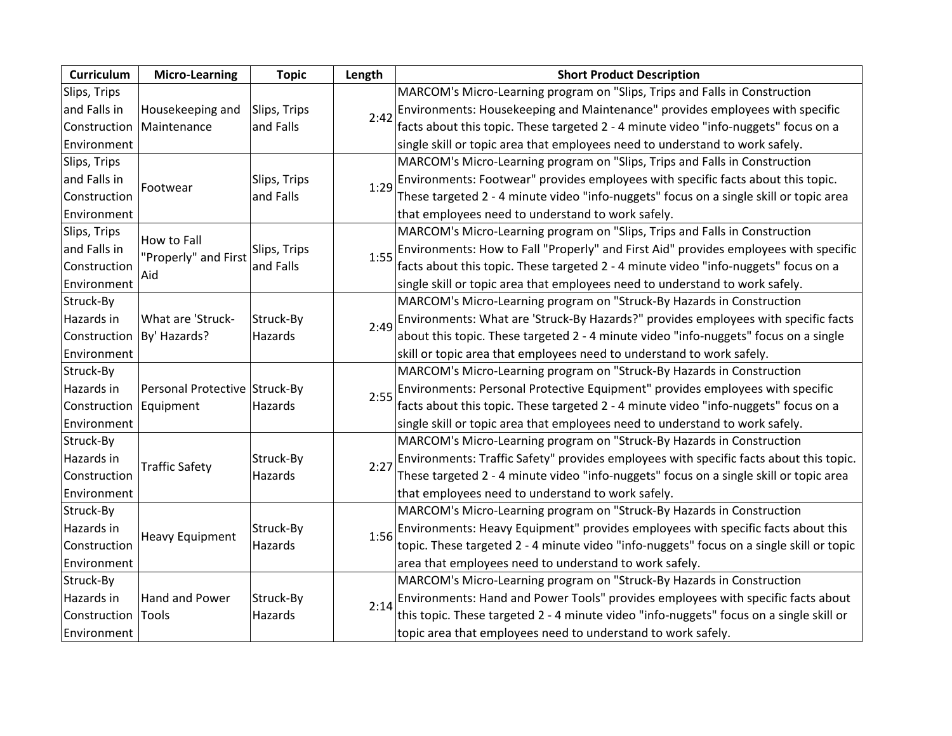| Curriculum   | <b>Micro-Learning</b>         | <b>Topic</b>    | Length                                                                                 | <b>Short Product Description</b>                                                         |
|--------------|-------------------------------|-----------------|----------------------------------------------------------------------------------------|------------------------------------------------------------------------------------------|
| Slips, Trips |                               |                 |                                                                                        | MARCOM's Micro-Learning program on "Slips, Trips and Falls in Construction               |
| and Falls in | Housekeeping and              | Slips, Trips    | 2:42                                                                                   | Environments: Housekeeping and Maintenance" provides employees with specific             |
| Construction | Maintenance                   | and Falls       |                                                                                        | facts about this topic. These targeted 2 - 4 minute video "info-nuggets" focus on a      |
| Environment  |                               |                 |                                                                                        | single skill or topic area that employees need to understand to work safely.             |
| Slips, Trips |                               |                 |                                                                                        | MARCOM's Micro-Learning program on "Slips, Trips and Falls in Construction               |
| and Falls in | Footwear                      | Slips, Trips    | 1:29                                                                                   | Environments: Footwear" provides employees with specific facts about this topic.         |
| Construction |                               | and Falls       |                                                                                        | These targeted 2 - 4 minute video "info-nuggets" focus on a single skill or topic area   |
| Environment  |                               |                 |                                                                                        | that employees need to understand to work safely.                                        |
| Slips, Trips | How to Fall                   |                 |                                                                                        | MARCOM's Micro-Learning program on "Slips, Trips and Falls in Construction               |
| and Falls in | "Properly" and First          | Slips, Trips    | 1:55                                                                                   | Environments: How to Fall "Properly" and First Aid" provides employees with specific     |
| Construction | Aid                           | and Falls       |                                                                                        | facts about this topic. These targeted 2 - 4 minute video "info-nuggets" focus on a      |
| Environment  |                               |                 |                                                                                        | single skill or topic area that employees need to understand to work safely.             |
| Struck-By    |                               |                 |                                                                                        | MARCOM's Micro-Learning program on "Struck-By Hazards in Construction                    |
| Hazards in   | What are 'Struck-             | Struck-By       | 2:49                                                                                   | Environments: What are 'Struck-By Hazards?" provides employees with specific facts       |
| Construction | By' Hazards?                  | Hazards         |                                                                                        | about this topic. These targeted 2 - 4 minute video "info-nuggets" focus on a single     |
| Environment  |                               |                 |                                                                                        | skill or topic area that employees need to understand to work safely.                    |
| Struck-By    |                               |                 |                                                                                        | MARCOM's Micro-Learning program on "Struck-By Hazards in Construction                    |
| Hazards in   | Personal Protective Struck-By |                 | 2:55                                                                                   | Environments: Personal Protective Equipment" provides employees with specific            |
| Construction | Equipment                     | Hazards         |                                                                                        | facts about this topic. These targeted 2 - 4 minute video "info-nuggets" focus on a      |
| Environment  |                               |                 |                                                                                        | single skill or topic area that employees need to understand to work safely.             |
| Struck-By    |                               |                 |                                                                                        | MARCOM's Micro-Learning program on "Struck-By Hazards in Construction                    |
| Hazards in   | <b>Traffic Safety</b>         | Struck-By       |                                                                                        | Environments: Traffic Safety" provides employees with specific facts about this topic.   |
| Construction |                               | 2:27<br>Hazards | These targeted 2 - 4 minute video "info-nuggets" focus on a single skill or topic area |                                                                                          |
| Environment  |                               |                 |                                                                                        | that employees need to understand to work safely.                                        |
| Struck-By    |                               |                 |                                                                                        | MARCOM's Micro-Learning program on "Struck-By Hazards in Construction                    |
| Hazards in   |                               | Struck-By       | 1:56                                                                                   | Environments: Heavy Equipment" provides employees with specific facts about this         |
| Construction | <b>Heavy Equipment</b>        | Hazards         |                                                                                        | topic. These targeted 2 - 4 minute video "info-nuggets" focus on a single skill or topic |
| Environment  |                               |                 |                                                                                        | area that employees need to understand to work safely.                                   |
| Struck-By    |                               |                 |                                                                                        | MARCOM's Micro-Learning program on "Struck-By Hazards in Construction                    |
| Hazards in   | Hand and Power                | Struck-By       | 2:14                                                                                   | Environments: Hand and Power Tools" provides employees with specific facts about         |
| Construction | Tools                         | Hazards         |                                                                                        | this topic. These targeted 2 - 4 minute video "info-nuggets" focus on a single skill or  |
| Environment  |                               |                 |                                                                                        | topic area that employees need to understand to work safely.                             |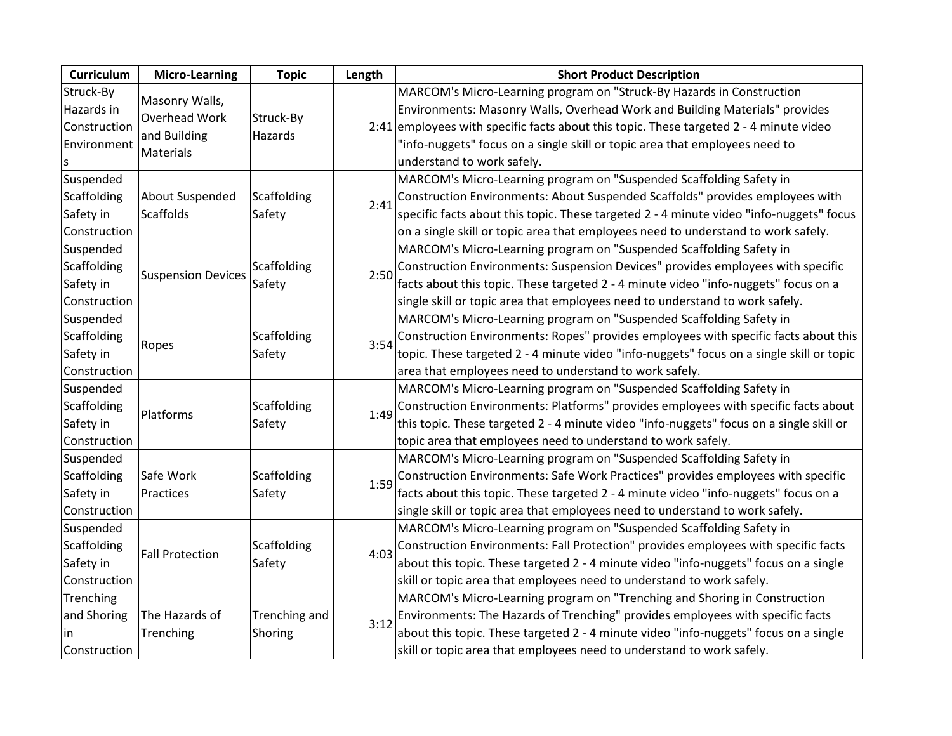| Curriculum   | <b>Micro-Learning</b>     | <b>Topic</b>          | Length | <b>Short Product Description</b>                                                         |
|--------------|---------------------------|-----------------------|--------|------------------------------------------------------------------------------------------|
| Struck-By    | Masonry Walls,            |                       |        | MARCOM's Micro-Learning program on "Struck-By Hazards in Construction                    |
| Hazards in   | Overhead Work             | Struck-By<br>Hazards  |        | Environments: Masonry Walls, Overhead Work and Building Materials" provides              |
| Construction | and Building              |                       |        | 2:41 employees with specific facts about this topic. These targeted $2 - 4$ minute video |
| Environment  | <b>Materials</b>          |                       |        | "info-nuggets" focus on a single skill or topic area that employees need to              |
|              |                           |                       |        | understand to work safely.                                                               |
| Suspended    |                           |                       |        | MARCOM's Micro-Learning program on "Suspended Scaffolding Safety in                      |
| Scaffolding  | About Suspended           | Scaffolding           | 2:41   | Construction Environments: About Suspended Scaffolds" provides employees with            |
| Safety in    | Scaffolds                 | Safety                |        | specific facts about this topic. These targeted 2 - 4 minute video "info-nuggets" focus  |
| Construction |                           |                       |        | on a single skill or topic area that employees need to understand to work safely.        |
| Suspended    |                           |                       |        | MARCOM's Micro-Learning program on "Suspended Scaffolding Safety in                      |
| Scaffolding  | <b>Suspension Devices</b> | Scaffolding           | 2:50   | Construction Environments: Suspension Devices" provides employees with specific          |
| Safety in    |                           | Safety                |        | facts about this topic. These targeted 2 - 4 minute video "info-nuggets" focus on a      |
| Construction |                           |                       |        | single skill or topic area that employees need to understand to work safely.             |
| Suspended    |                           |                       |        | MARCOM's Micro-Learning program on "Suspended Scaffolding Safety in                      |
| Scaffolding  |                           | Scaffolding<br>Safety | 3:54   | Construction Environments: Ropes" provides employees with specific facts about this      |
| Safety in    | Ropes                     |                       |        | topic. These targeted 2 - 4 minute video "info-nuggets" focus on a single skill or topic |
| Construction |                           |                       |        | area that employees need to understand to work safely.                                   |
| Suspended    |                           |                       |        | MARCOM's Micro-Learning program on "Suspended Scaffolding Safety in                      |
| Scaffolding  | Platforms                 | Scaffolding           | 1:49   | Construction Environments: Platforms" provides employees with specific facts about       |
| Safety in    |                           | Safety                |        | this topic. These targeted 2 - 4 minute video "info-nuggets" focus on a single skill or  |
| Construction |                           |                       |        | topic area that employees need to understand to work safely.                             |
| Suspended    |                           |                       |        | MARCOM's Micro-Learning program on "Suspended Scaffolding Safety in                      |
| Scaffolding  | Safe Work                 | Scaffolding           | 1:59   | Construction Environments: Safe Work Practices" provides employees with specific         |
| Safety in    | Practices                 | Safety                |        | facts about this topic. These targeted 2 - 4 minute video "info-nuggets" focus on a      |
| Construction |                           |                       |        | single skill or topic area that employees need to understand to work safely.             |
| Suspended    |                           |                       |        | MARCOM's Micro-Learning program on "Suspended Scaffolding Safety in                      |
| Scaffolding  | <b>Fall Protection</b>    | Scaffolding<br>Safety | 4:03   | Construction Environments: Fall Protection" provides employees with specific facts       |
| Safety in    |                           |                       |        | about this topic. These targeted 2 - 4 minute video "info-nuggets" focus on a single     |
| Construction |                           |                       |        | skill or topic area that employees need to understand to work safely.                    |
| Trenching    |                           |                       |        | MARCOM's Micro-Learning program on "Trenching and Shoring in Construction                |
| and Shoring  | The Hazards of            | Trenching and         | 3:12   | Environments: The Hazards of Trenching" provides employees with specific facts           |
| in.          | Trenching                 | Shoring               |        | about this topic. These targeted 2 - 4 minute video "info-nuggets" focus on a single     |
| Construction |                           |                       |        | skill or topic area that employees need to understand to work safely.                    |